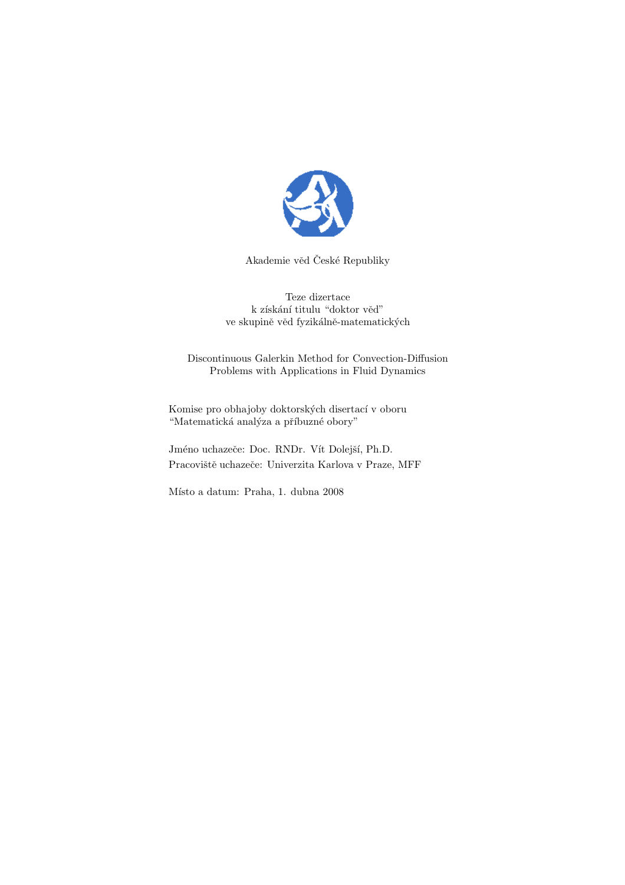

Akademie věd České Republiky

Teze dizertace k získání titulu "doktor věd" ve skupině věd fyzikálně-matematických

Discontinuous Galerkin Method for Convection-Diffusion Problems with Applications in Fluid Dynamics

Komise pro obhajoby doktorských disertací v oboru "Matematická analýza a příbuzné obory"

Jméno uchazeče: Doc. RNDr. Vít Dolejší, Ph.D. Pracoviště uchazeče: Univerzita Karlova v Praze, MFF

Místo a datum: Praha, 1. dubna 2008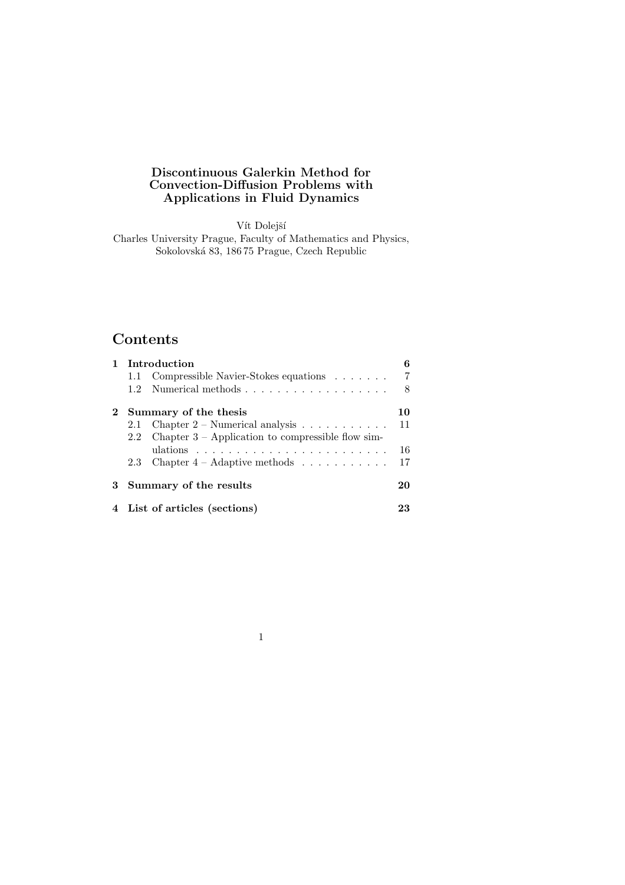## Discontinuous Galerkin Method for Convection-Diffusion Problems with Applications in Fluid Dynamics

Vít Dolejší

Charles University Prague, Faculty of Mathematics and Physics, Sokolovsk´a 83, 186 75 Prague, Czech Republic

# Contents

| <b>Introduction</b>           |                                                                    | հ  |
|-------------------------------|--------------------------------------------------------------------|----|
|                               | 1.1 Compressible Navier-Stokes equations                           | 7  |
| $1.2^{\circ}$                 | Numerical methods                                                  | 8  |
| Summary of the thesis         |                                                                    | 10 |
|                               | 2.1 Chapter $2$ – Numerical analysis $\ldots \ldots \ldots$        | 11 |
|                               | 2.2 Chapter $3$ – Application to compressible flow sim-            |    |
|                               | ulations $\ldots \ldots \ldots \ldots \ldots \ldots \ldots \ldots$ | 16 |
|                               | 2.3 Chapter $4 -$ Adaptive methods                                 | 17 |
| 3 Summary of the results      |                                                                    | 20 |
| 4 List of articles (sections) |                                                                    | 23 |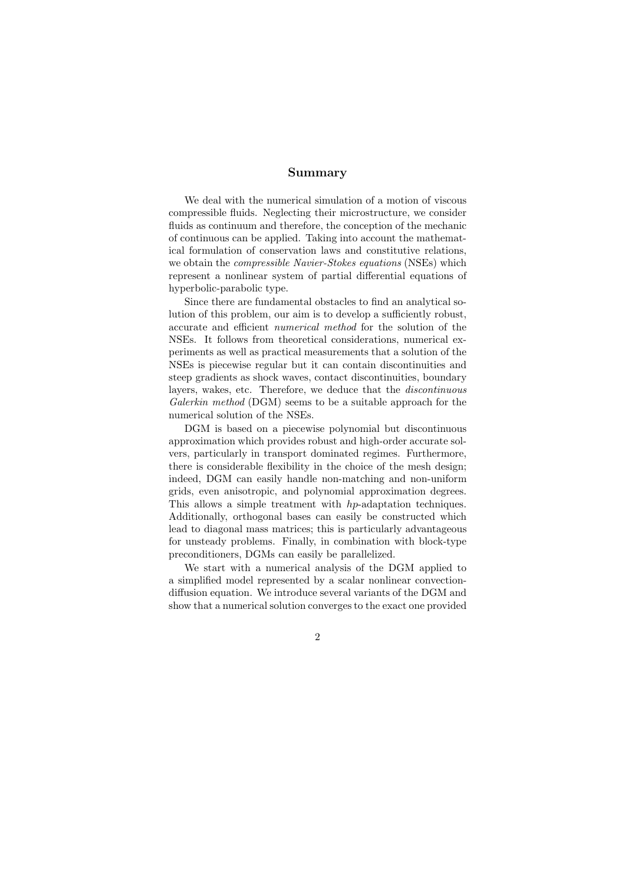### Summary

We deal with the numerical simulation of a motion of viscous compressible fluids. Neglecting their microstructure, we consider fluids as continuum and therefore, the conception of the mechanic of continuous can be applied. Taking into account the mathematical formulation of conservation laws and constitutive relations, we obtain the compressible Navier-Stokes equations (NSEs) which represent a nonlinear system of partial differential equations of hyperbolic-parabolic type.

Since there are fundamental obstacles to find an analytical solution of this problem, our aim is to develop a sufficiently robust, accurate and efficient numerical method for the solution of the NSEs. It follows from theoretical considerations, numerical experiments as well as practical measurements that a solution of the NSEs is piecewise regular but it can contain discontinuities and steep gradients as shock waves, contact discontinuities, boundary layers, wakes, etc. Therefore, we deduce that the discontinuous Galerkin method (DGM) seems to be a suitable approach for the numerical solution of the NSEs.

DGM is based on a piecewise polynomial but discontinuous approximation which provides robust and high-order accurate solvers, particularly in transport dominated regimes. Furthermore, there is considerable flexibility in the choice of the mesh design; indeed, DGM can easily handle non-matching and non-uniform grids, even anisotropic, and polynomial approximation degrees. This allows a simple treatment with hp-adaptation techniques. Additionally, orthogonal bases can easily be constructed which lead to diagonal mass matrices; this is particularly advantageous for unsteady problems. Finally, in combination with block-type preconditioners, DGMs can easily be parallelized.

We start with a numerical analysis of the DGM applied to a simplified model represented by a scalar nonlinear convectiondiffusion equation. We introduce several variants of the DGM and show that a numerical solution converges to the exact one provided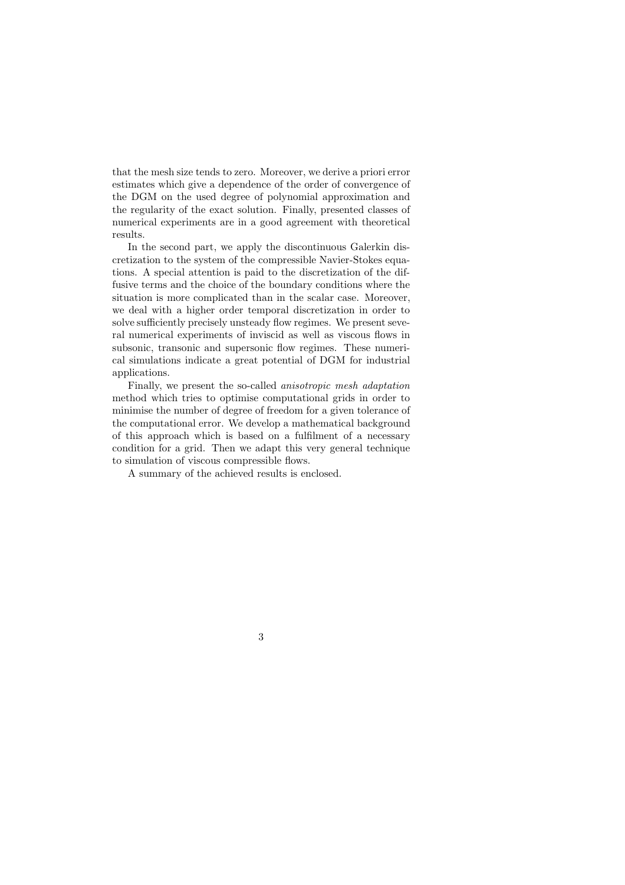that the mesh size tends to zero. Moreover, we derive a priori error estimates which give a dependence of the order of convergence of the DGM on the used degree of polynomial approximation and the regularity of the exact solution. Finally, presented classes of numerical experiments are in a good agreement with theoretical results.

In the second part, we apply the discontinuous Galerkin discretization to the system of the compressible Navier-Stokes equations. A special attention is paid to the discretization of the diffusive terms and the choice of the boundary conditions where the situation is more complicated than in the scalar case. Moreover, we deal with a higher order temporal discretization in order to solve sufficiently precisely unsteady flow regimes. We present several numerical experiments of inviscid as well as viscous flows in subsonic, transonic and supersonic flow regimes. These numerical simulations indicate a great potential of DGM for industrial applications.

Finally, we present the so-called anisotropic mesh adaptation method which tries to optimise computational grids in order to minimise the number of degree of freedom for a given tolerance of the computational error. We develop a mathematical background of this approach which is based on a fulfilment of a necessary condition for a grid. Then we adapt this very general technique to simulation of viscous compressible flows.

A summary of the achieved results is enclosed.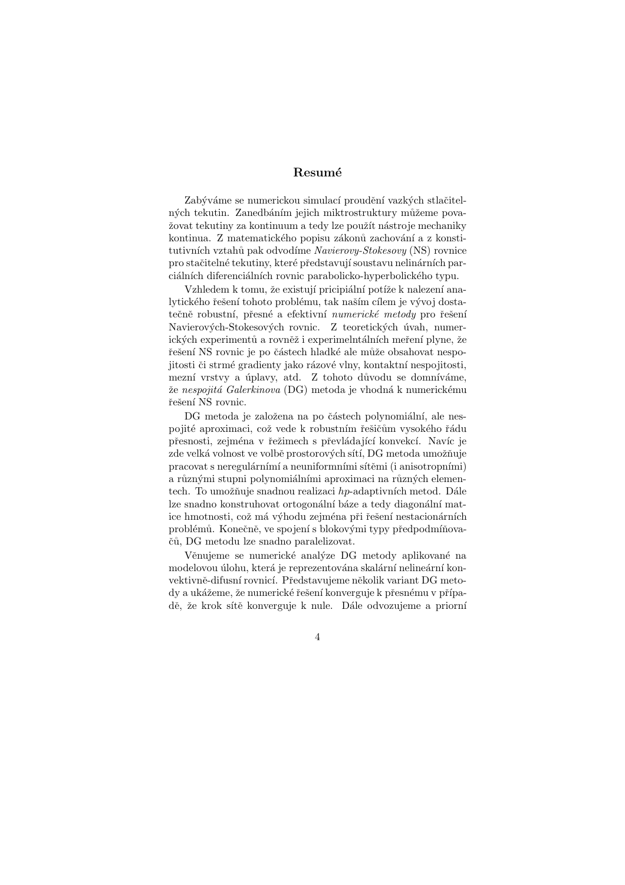## Resumé

Zabýváme se numerickou simulací proudění vazkých stlačitelných tekutin. Zanedbáním jejich miktrostruktury můžeme považovat tekutiny za kontinuum a tedy lze použít nástroje mechaniky kontinua. Z matematického popisu zákonů zachování a z konstitutivních vztahů pak odvodíme Navierovy-Stokesovy (NS) rovnice pro stačitelné tekutiny, které představují soustavu nelinárních parciálních diferenciálních rovnic parabolicko-hyperbolického typu.

Vzhledem k tomu, že existují pricipiální potíže k nalezení analytického řešení tohoto problému, tak naším cílem je vývoj dostatečně robustní, přesné a efektivní numerické metody pro řešení Navierových-Stokesových rovnic. Z teoretických úvah, numerických experimentů a rovněž i experimelntálních meření plyne, že řešení NS rovnic je po částech hladké ale může obsahovat nespojitosti či strmé gradienty jako rázové vlny, kontaktní nespojitosti, mezní vrstvy a úplavy, atd. Z tohoto důvodu se domníváme, že nespojitá Galerkinova (DG) metoda je vhodná k numerickému řešení NS rovnic.

DG metoda je založena na po částech polynomiální, ale nespojité aproximaci, což vede k robustním řešičům vysokého řádu přesnosti, zejména v řežimech s převládající konvekcí. Navíc je zde velká volnost ve volbě prostorových sítí, DG metoda umožňuje pracovat s neregulárnímí a neuniformními sítěmi (i anisotropními) a různými stupni polynomiálními aproximaci na různých elementech. To umožňuje snadnou realizaci  $hp$ -adaptivních metod. Dále lze snadno konstruhovat ortogonální báze a tedy diagonální matice hmotnosti, což má výhodu zejména při řešení nestacionárních problémů. Konečně, ve spojení s blokovými typy předpodmíňova-ˇc˚u, DG metodu lze snadno paralelizovat.

Věnujeme se numerické analýze DG metody aplikované na modelovou úlohu, která je reprezentována skalární nelineární konvektivně-difusní rovnicí. Představujeme několik variant DG metody a ukážeme, že numerické řešení konverguje k přesnému v případě, že krok sítě konverguje k nule. Dále odvozujeme a priorní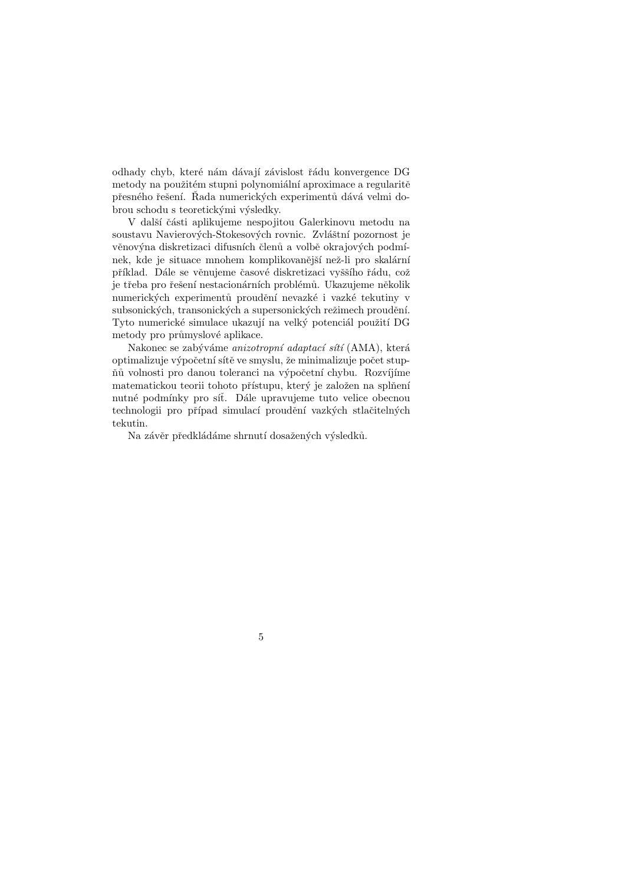odhady chyb, které nám dávají závislost řádu konvergence DG metody na použitém stupni polynomiální aproximace a regularitě přesného řešení. Řada numerických experimentů dává velmi dobrou schodu s teoretickými výsledky.

V další části aplikujeme nespojitou Galerkinovu metodu na soustavu Navierových-Stokesových rovnic. Zvláštní pozornost je věnovýna diskretizaci difusních členů a volbě okrajových podmínek, kde je situace mnohem komplikovanější než-li pro skalární příklad. Dále se věnujeme časové diskretizaci vyššího řádu, což je třeba pro řešení nestacionárních problémů. Ukazujeme několik numerických experimentů proudění nevazké i vazké tekutiny v subsonických, transonických a supersonických režimech proudění. Tyto numerické simulace ukazují na velký potenciál použití DG metody pro průmyslové aplikace.

Nakonec se zabýváme anizotropní adaptací sítí (AMA), která optimalizuje výpočetní sítě ve smyslu, že minimalizuje počet stupňů volnosti pro danou toleranci na výpočetní chybu. Rozvíjíme matematickou teorii tohoto přístupu, který je založen na splňení nutné podmínky pro síť. Dále upravujeme tuto velice obecnou technologii pro případ simulací proudění vazkých stlačitelných tekutin.

Na závěr předkládáme shrnutí dosažených výsledků.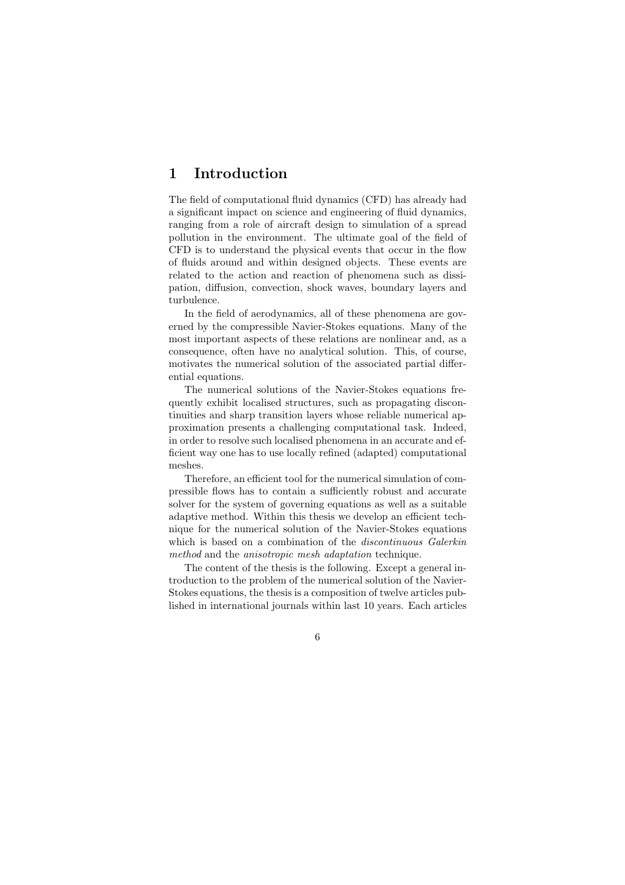# 1 Introduction

The field of computational fluid dynamics (CFD) has already had a significant impact on science and engineering of fluid dynamics, ranging from a role of aircraft design to simulation of a spread pollution in the environment. The ultimate goal of the field of CFD is to understand the physical events that occur in the flow of fluids around and within designed objects. These events are related to the action and reaction of phenomena such as dissipation, diffusion, convection, shock waves, boundary layers and turbulence.

In the field of aerodynamics, all of these phenomena are governed by the compressible Navier-Stokes equations. Many of the most important aspects of these relations are nonlinear and, as a consequence, often have no analytical solution. This, of course, motivates the numerical solution of the associated partial differential equations.

The numerical solutions of the Navier-Stokes equations frequently exhibit localised structures, such as propagating discontinuities and sharp transition layers whose reliable numerical approximation presents a challenging computational task. Indeed, in order to resolve such localised phenomena in an accurate and efficient way one has to use locally refined (adapted) computational meshes.

Therefore, an efficient tool for the numerical simulation of compressible flows has to contain a sufficiently robust and accurate solver for the system of governing equations as well as a suitable adaptive method. Within this thesis we develop an efficient technique for the numerical solution of the Navier-Stokes equations which is based on a combination of the *discontinuous Galerkin* method and the anisotropic mesh adaptation technique.

The content of the thesis is the following. Except a general introduction to the problem of the numerical solution of the Navier-Stokes equations, the thesis is a composition of twelve articles published in international journals within last 10 years. Each articles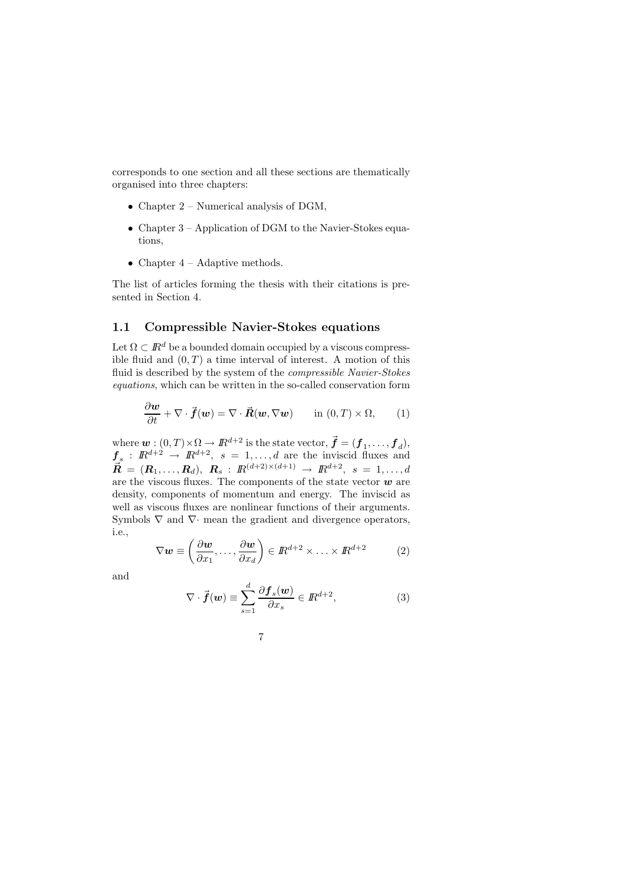corresponds to one section and all these sections are thematically organised into three chapters:

- Chapter  $2$  Numerical analysis of DGM,
- Chapter 3 Application of DGM to the Navier-Stokes equations,
- Chapter  $4$  Adaptive methods.

The list of articles forming the thesis with their citations is presented in Section 4.

## 1.1 Compressible Navier-Stokes equations

Let  $\Omega \subset \mathbb{R}^d$  be a bounded domain occupied by a viscous compressible fluid and  $(0, T)$  a time interval of interest. A motion of this fluid is described by the system of the compressible Navier-Stokes equations, which can be written in the so-called conservation form

$$
\frac{\partial \boldsymbol{w}}{\partial t} + \nabla \cdot \vec{\boldsymbol{f}}(\boldsymbol{w}) = \nabla \cdot \vec{\boldsymbol{R}}(\boldsymbol{w}, \nabla \boldsymbol{w}) \quad \text{in } (0, T) \times \Omega,
$$
 (1)

where  $\mathbf{w}: (0,T) \times \Omega \to \mathbb{R}^{d+2}$  is the state vector,  $\vec{\mathbf{f}} = (\mathbf{f}_1, \ldots, \mathbf{f}_d),$  $f_s: \mathbb{R}^{d+2} \to \mathbb{R}^{d+2}, s = 1, \ldots, d$  are the inviscid fluxes and  $\vec{R} = (R_1, \ldots, R_d), \; R_s : R^{(d+2)\times(d+1)} \to R^{d+2}, \; s = 1, \ldots, d$ are the viscous fluxes. The components of the state vector  $\boldsymbol{w}$  are density, components of momentum and energy. The inviscid as well as viscous fluxes are nonlinear functions of their arguments. Symbols  $\nabla$  and  $\nabla$  mean the gradient and divergence operators, i.e.,

$$
\nabla \mathbf{w} \equiv \left(\frac{\partial \mathbf{w}}{\partial x_1}, \dots, \frac{\partial \mathbf{w}}{\partial x_d}\right) \in \mathbb{R}^{d+2} \times \dots \times \mathbb{R}^{d+2}
$$
 (2)

and

$$
\nabla \cdot \vec{f}(\boldsymbol{w}) \equiv \sum_{s=1}^{d} \frac{\partial \boldsymbol{f}_s(\boldsymbol{w})}{\partial x_s} \in \mathbb{R}^{d+2}, \tag{3}
$$

$$
7\,
$$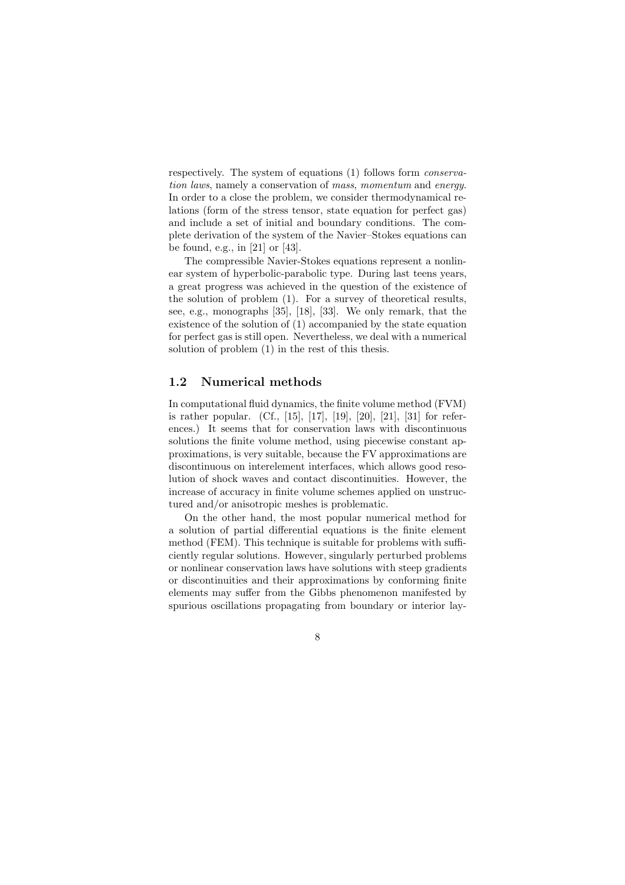respectively. The system of equations (1) follows form conservation laws, namely a conservation of mass, momentum and energy. In order to a close the problem, we consider thermodynamical relations (form of the stress tensor, state equation for perfect gas) and include a set of initial and boundary conditions. The complete derivation of the system of the Navier–Stokes equations can be found, e.g., in [21] or [43].

The compressible Navier-Stokes equations represent a nonlinear system of hyperbolic-parabolic type. During last teens years, a great progress was achieved in the question of the existence of the solution of problem (1). For a survey of theoretical results, see, e.g., monographs [35], [18], [33]. We only remark, that the existence of the solution of (1) accompanied by the state equation for perfect gas is still open. Nevertheless, we deal with a numerical solution of problem (1) in the rest of this thesis.

#### 1.2 Numerical methods

In computational fluid dynamics, the finite volume method (FVM) is rather popular. (Cf., [15], [17], [19], [20], [21], [31] for references.) It seems that for conservation laws with discontinuous solutions the finite volume method, using piecewise constant approximations, is very suitable, because the FV approximations are discontinuous on interelement interfaces, which allows good resolution of shock waves and contact discontinuities. However, the increase of accuracy in finite volume schemes applied on unstructured and/or anisotropic meshes is problematic.

On the other hand, the most popular numerical method for a solution of partial differential equations is the finite element method (FEM). This technique is suitable for problems with sufficiently regular solutions. However, singularly perturbed problems or nonlinear conservation laws have solutions with steep gradients or discontinuities and their approximations by conforming finite elements may suffer from the Gibbs phenomenon manifested by spurious oscillations propagating from boundary or interior lay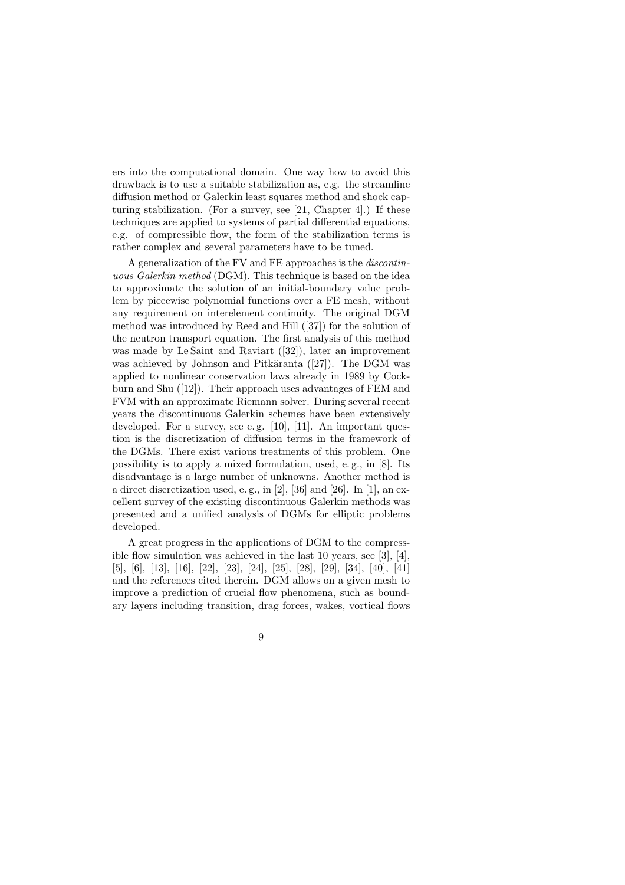ers into the computational domain. One way how to avoid this drawback is to use a suitable stabilization as, e.g. the streamline diffusion method or Galerkin least squares method and shock capturing stabilization. (For a survey, see [21, Chapter 4].) If these techniques are applied to systems of partial differential equations, e.g. of compressible flow, the form of the stabilization terms is rather complex and several parameters have to be tuned.

A generalization of the FV and FE approaches is the discontinuous Galerkin method (DGM). This technique is based on the idea to approximate the solution of an initial-boundary value problem by piecewise polynomial functions over a FE mesh, without any requirement on interelement continuity. The original DGM method was introduced by Reed and Hill ([37]) for the solution of the neutron transport equation. The first analysis of this method was made by Le Saint and Raviart ([32]), later an improvement was achieved by Johnson and Pitkäranta  $([27])$ . The DGM was applied to nonlinear conservation laws already in 1989 by Cockburn and Shu ([12]). Their approach uses advantages of FEM and FVM with an approximate Riemann solver. During several recent years the discontinuous Galerkin schemes have been extensively developed. For a survey, see e.g. [10], [11]. An important question is the discretization of diffusion terms in the framework of the DGMs. There exist various treatments of this problem. One possibility is to apply a mixed formulation, used, e. g., in [8]. Its disadvantage is a large number of unknowns. Another method is a direct discretization used, e. g., in [2], [36] and [26]. In [1], an excellent survey of the existing discontinuous Galerkin methods was presented and a unified analysis of DGMs for elliptic problems developed.

A great progress in the applications of DGM to the compressible flow simulation was achieved in the last 10 years, see [3], [4], [5], [6], [13], [16], [22], [23], [24], [25], [28], [29], [34], [40], [41] and the references cited therein. DGM allows on a given mesh to improve a prediction of crucial flow phenomena, such as boundary layers including transition, drag forces, wakes, vortical flows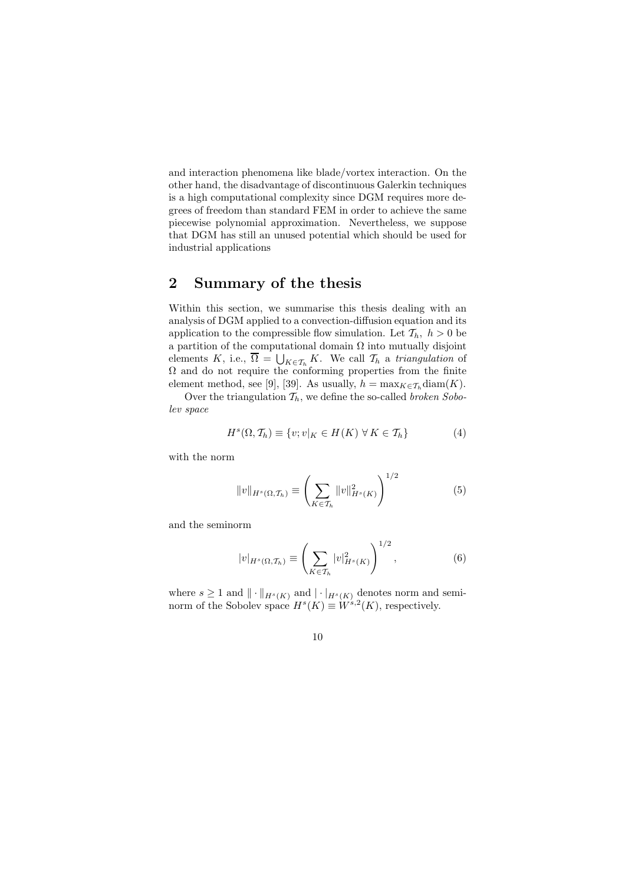and interaction phenomena like blade/vortex interaction. On the other hand, the disadvantage of discontinuous Galerkin techniques is a high computational complexity since DGM requires more degrees of freedom than standard FEM in order to achieve the same piecewise polynomial approximation. Nevertheless, we suppose that DGM has still an unused potential which should be used for industrial applications

# 2 Summary of the thesis

Within this section, we summarise this thesis dealing with an analysis of DGM applied to a convection-diffusion equation and its application to the compressible flow simulation. Let  $\mathcal{T}_h$ ,  $h > 0$  be a partition of the computational domain  $\Omega$  into mutually disjoint elements K, i.e.,  $\Omega = \bigcup_{K \in \mathcal{T}_h} K$ . We call  $\mathcal{T}_h$  a triangulation of  $\Omega$  and do not require the conforming properties from the finite element method, see [9], [39]. As usually,  $h = \max_{K \in \mathcal{T}_h} \text{diam}(K)$ .

Over the triangulation  $\mathcal{T}_h$ , we define the so-called *broken Sobo*lev space

$$
H^{s}(\Omega, \mathcal{T}_{h}) \equiv \{v; v|_{K} \in H(K) \,\forall K \in \mathcal{T}_{h}\}
$$
 (4)

with the norm

$$
||v||_{H^{s}(\Omega, \mathcal{T}_{h})} \equiv \left(\sum_{K \in \mathcal{T}_{h}} ||v||_{H^{s}(K)}^{2}\right)^{1/2}
$$
(5)

and the seminorm

$$
|v|_{H^s(\Omega, \mathcal{T}_h)} \equiv \left(\sum_{K \in \mathcal{T}_h} |v|_{H^s(K)}^2\right)^{1/2},\tag{6}
$$

where  $s \geq 1$  and  $\|\cdot\|_{H^s(K)}$  and  $|\cdot|_{H^s(K)}$  denotes norm and seminorm of the Sobolev space  $H^s(K) \equiv W^{s,2}(K)$ , respectively.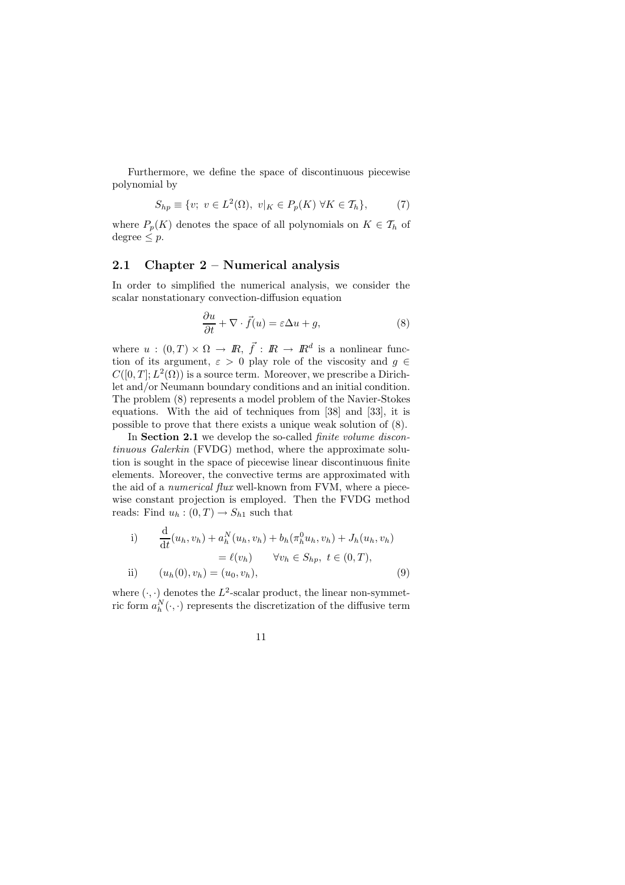Furthermore, we define the space of discontinuous piecewise polynomial by

$$
S_{hp} \equiv \{v; \ v \in L^2(\Omega), \ v|_K \in P_p(K) \ \forall K \in \mathcal{T}_h\},\tag{7}
$$

where  $P_p(K)$  denotes the space of all polynomials on  $K \in \mathcal{T}_h$  of  $degree < p$ .

# 2.1 Chapter 2 – Numerical analysis

In order to simplified the numerical analysis, we consider the scalar nonstationary convection-diffusion equation

$$
\frac{\partial u}{\partial t} + \nabla \cdot \vec{f}(u) = \varepsilon \Delta u + g,\tag{8}
$$

where  $u:(0,T)\times\Omega\to\mathbb{R},\ \vec{f}:\mathbb{R}\to\mathbb{R}^d$  is a nonlinear function of its argument,  $\varepsilon > 0$  play role of the viscosity and  $g \in$  $C([0,T];L^2(\Omega))$  is a source term. Moreover, we prescribe a Dirichlet and/or Neumann boundary conditions and an initial condition. The problem (8) represents a model problem of the Navier-Stokes equations. With the aid of techniques from [38] and [33], it is possible to prove that there exists a unique weak solution of (8).

In Section 2.1 we develop the so-called *finite volume discon*tinuous Galerkin (FVDG) method, where the approximate solution is sought in the space of piecewise linear discontinuous finite elements. Moreover, the convective terms are approximated with the aid of a *numerical flux* well-known from FVM, where a piecewise constant projection is employed. Then the FVDG method reads: Find  $u_h: (0,T) \to S_{h1}$  such that

i) 
$$
\frac{d}{dt}(u_h, v_h) + a_h^N(u_h, v_h) + b_h(\pi_h^0 u_h, v_h) + J_h(u_h, v_h) = \ell(v_h) \qquad \forall v_h \in S_{hp}, \ t \in (0, T), ii) \qquad (u_h(0), v_h) = (u_0, v_h),
$$
 (9)

where  $(\cdot, \cdot)$  denotes the  $L^2$ -scalar product, the linear non-symmetric form  $a_h^N(\cdot, \cdot)$  represents the discretization of the diffusive term

11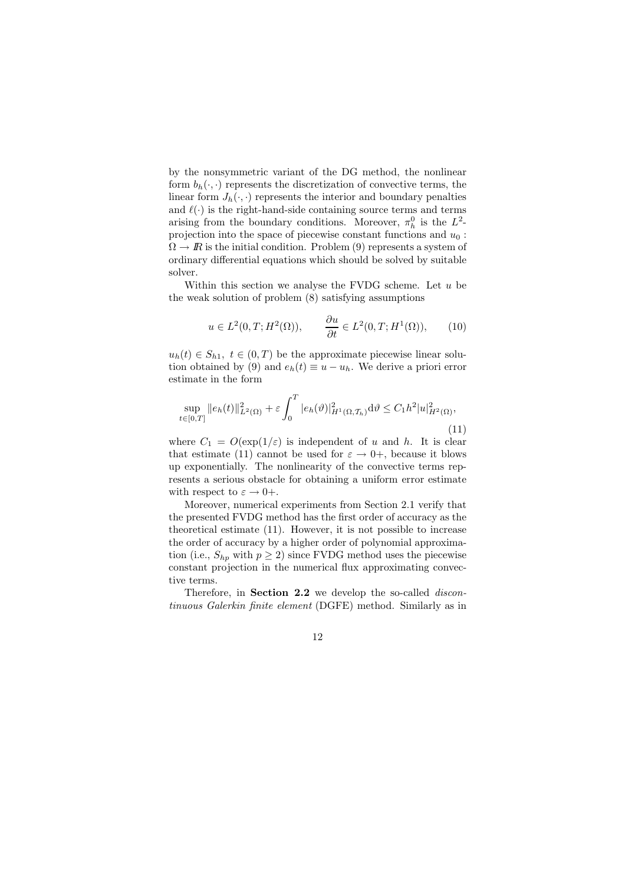by the nonsymmetric variant of the DG method, the nonlinear form  $b_h(\cdot, \cdot)$  represents the discretization of convective terms, the linear form  $J_h(\cdot, \cdot)$  represents the interior and boundary penalties and  $\ell(\cdot)$  is the right-hand-side containing source terms and terms arising from the boundary conditions. Moreover,  $\pi_h^0$  is the  $L^2$ projection into the space of piecewise constant functions and  $u_0$ :  $\Omega \to \mathbb{R}$  is the initial condition. Problem (9) represents a system of ordinary differential equations which should be solved by suitable solver.

Within this section we analyse the FVDG scheme. Let  $u$  be the weak solution of problem (8) satisfying assumptions

$$
u \in L^2(0, T; H^2(\Omega)), \qquad \frac{\partial u}{\partial t} \in L^2(0, T; H^1(\Omega)), \qquad (10)
$$

 $u_h(t) \in S_{h1}, t \in (0,T)$  be the approximate piecewise linear solution obtained by (9) and  $e_h(t) \equiv u - u_h$ . We derive a priori error estimate in the form

$$
\sup_{t \in [0,T]} \|e_h(t)\|_{L^2(\Omega)}^2 + \varepsilon \int_0^T |e_h(\vartheta)|_{H^1(\Omega, \mathcal{T}_h)}^2 d\vartheta \le C_1 h^2 |u|_{H^2(\Omega)}^2,
$$
\n(11)

where  $C_1 = O(\exp(1/\varepsilon))$  is independent of u and h. It is clear that estimate (11) cannot be used for  $\varepsilon \to 0^+$ , because it blows up exponentially. The nonlinearity of the convective terms represents a serious obstacle for obtaining a uniform error estimate with respect to  $\varepsilon \to 0^+$ .

Moreover, numerical experiments from Section 2.1 verify that the presented FVDG method has the first order of accuracy as the theoretical estimate (11). However, it is not possible to increase the order of accuracy by a higher order of polynomial approximation (i.e.,  $S_{hp}$  with  $p \ge 2$ ) since FVDG method uses the piecewise constant projection in the numerical flux approximating convective terms.

Therefore, in **Section 2.2** we develop the so-called *discon*tinuous Galerkin finite element (DGFE) method. Similarly as in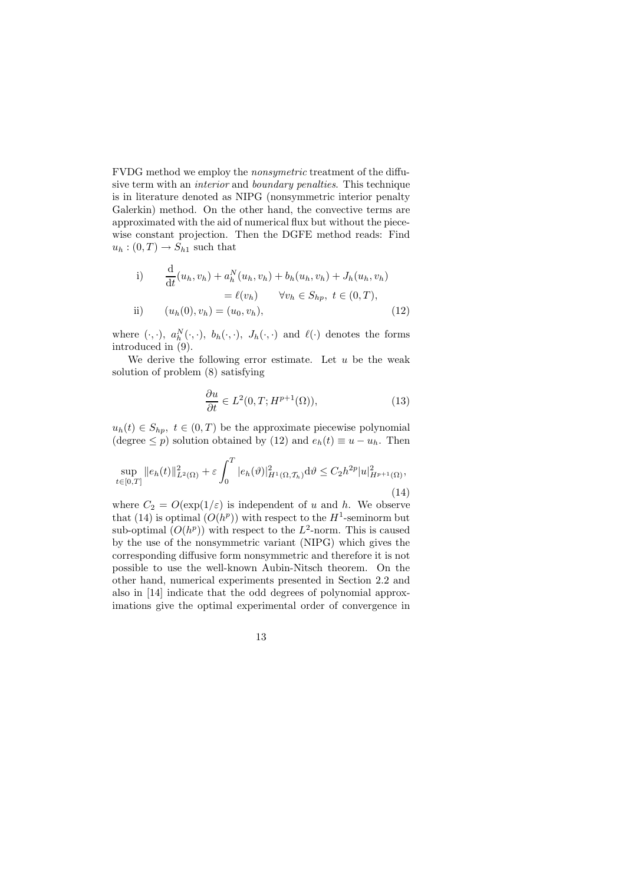FVDG method we employ the nonsymetric treatment of the diffusive term with an interior and boundary penalties. This technique is in literature denoted as NIPG (nonsymmetric interior penalty Galerkin) method. On the other hand, the convective terms are approximated with the aid of numerical flux but without the piecewise constant projection. Then the DGFE method reads: Find  $u_h: (0, T) \to S_{h1}$  such that

i) 
$$
\frac{d}{dt}(u_h, v_h) + a_h^N(u_h, v_h) + b_h(u_h, v_h) + J_h(u_h, v_h) = \ell(v_h) \quad \forall v_h \in S_{hp}, \ t \in (0, T), ii) \quad (u_h(0), v_h) = (u_0, v_h),
$$
 (12)

where  $(\cdot, \cdot)$ ,  $a_h^N(\cdot, \cdot)$ ,  $b_h(\cdot, \cdot)$ ,  $J_h(\cdot, \cdot)$  and  $\ell(\cdot)$  denotes the forms introduced in (9).

We derive the following error estimate. Let  $u$  be the weak solution of problem (8) satisfying

$$
\frac{\partial u}{\partial t} \in L^2(0, T; H^{p+1}(\Omega)),\tag{13}
$$

 $u_h(t) \in S_{hp}, t \in (0,T)$  be the approximate piecewise polynomial (degree  $\leq p$ ) solution obtained by (12) and  $e_h(t) \equiv u - u_h$ . Then

$$
\sup_{t \in [0,T]} \|e_h(t)\|_{L^2(\Omega)}^2 + \varepsilon \int_0^T |e_h(\vartheta)|_{H^1(\Omega, \mathcal{T}_h)}^2 d\vartheta \le C_2 h^{2p} |u|_{H^{p+1}(\Omega)}^2,
$$
\n(14)

where  $C_2 = O(\exp(1/\varepsilon))$  is independent of u and h. We observe that (14) is optimal  $(O(h^p))$  with respect to the  $H^1$ -seminorm but sub-optimal  $(O(h^p))$  with respect to the  $L^2$ -norm. This is caused by the use of the nonsymmetric variant (NIPG) which gives the corresponding diffusive form nonsymmetric and therefore it is not possible to use the well-known Aubin-Nitsch theorem. On the other hand, numerical experiments presented in Section 2.2 and also in [14] indicate that the odd degrees of polynomial approximations give the optimal experimental order of convergence in

$$
13\quad
$$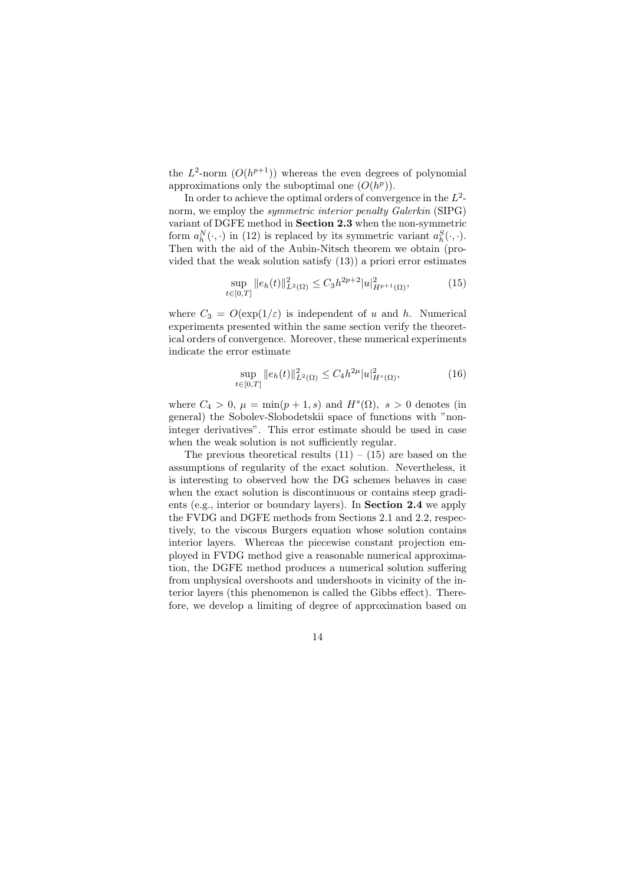the  $L^2$ -norm  $(O(h^{p+1}))$  whereas the even degrees of polynomial approximations only the suboptimal one  $(O(h^p))$ .

In order to achieve the optimal orders of convergence in the  $L^2$ norm, we employ the *symmetric interior penalty Galerkin* (SIPG) variant of DGFE method in Section 2.3 when the non-symmetric form  $a_h^N(\cdot, \cdot)$  in (12) is replaced by its symmetric variant  $a_h^S(\cdot, \cdot)$ . Then with the aid of the Aubin-Nitsch theorem we obtain (provided that the weak solution satisfy (13)) a priori error estimates

$$
\sup_{\in[0,T]} \|e_h(t)\|_{L^2(\Omega)}^2 \le C_3 h^{2p+2} |u|_{H^{p+1}(\Omega)}^2,
$$
\n(15)

where  $C_3 = O(\exp(1/\varepsilon))$  is independent of u and h. Numerical experiments presented within the same section verify the theoretical orders of convergence. Moreover, these numerical experiments indicate the error estimate

 $t$ 

$$
\sup_{t \in [0,T]} \|e_h(t)\|_{L^2(\Omega)}^2 \le C_4 h^{2\mu} |u|_{H^s(\Omega)}^2,
$$
\n(16)

where  $C_4 > 0$ ,  $\mu = \min(p+1, s)$  and  $H^s(\Omega)$ ,  $s > 0$  denotes (in general) the Sobolev-Slobodetskii space of functions with "noninteger derivatives". This error estimate should be used in case when the weak solution is not sufficiently regular.

The previous theoretical results  $(11) - (15)$  are based on the assumptions of regularity of the exact solution. Nevertheless, it is interesting to observed how the DG schemes behaves in case when the exact solution is discontinuous or contains steep gradients (e.g., interior or boundary layers). In Section 2.4 we apply the FVDG and DGFE methods from Sections 2.1 and 2.2, respectively, to the viscous Burgers equation whose solution contains interior layers. Whereas the piecewise constant projection employed in FVDG method give a reasonable numerical approximation, the DGFE method produces a numerical solution suffering from unphysical overshoots and undershoots in vicinity of the interior layers (this phenomenon is called the Gibbs effect). Therefore, we develop a limiting of degree of approximation based on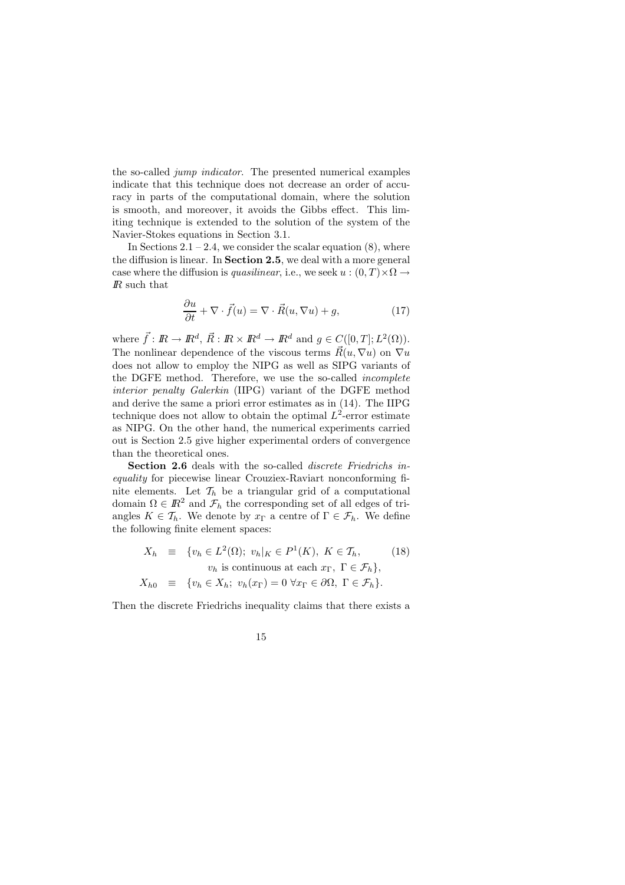the so-called jump indicator. The presented numerical examples indicate that this technique does not decrease an order of accuracy in parts of the computational domain, where the solution is smooth, and moreover, it avoids the Gibbs effect. This limiting technique is extended to the solution of the system of the Navier-Stokes equations in Section 3.1.

In Sections  $2.1 - 2.4$ , we consider the scalar equation  $(8)$ , where the diffusion is linear. In Section 2.5, we deal with a more general case where the diffusion is *quasilinear*, i.e., we seek  $u:(0,T)\times\Omega\to$ IR such that

$$
\frac{\partial u}{\partial t} + \nabla \cdot \vec{f}(u) = \nabla \cdot \vec{R}(u, \nabla u) + g,\tag{17}
$$

where  $\vec{f} : \mathbb{R} \to \mathbb{R}^d$ ,  $\vec{R} : \mathbb{R} \times \mathbb{R}^d \to \mathbb{R}^d$  and  $g \in C([0, T]; L^2(\Omega))$ . The nonlinear dependence of the viscous terms  $\vec{R}(u, \nabla u)$  on  $\nabla u$ does not allow to employ the NIPG as well as SIPG variants of the DGFE method. Therefore, we use the so-called incomplete interior penalty Galerkin (IIPG) variant of the DGFE method and derive the same a priori error estimates as in (14). The IIPG technique does not allow to obtain the optimal  $L^2$ -error estimate as NIPG. On the other hand, the numerical experiments carried out is Section 2.5 give higher experimental orders of convergence than the theoretical ones.

Section 2.6 deals with the so-called *discrete Friedrichs* inequality for piecewise linear Crouziex-Raviart nonconforming finite elements. Let  $\mathcal{T}_h$  be a triangular grid of a computational domain  $\Omega \in \mathbb{R}^2$  and  $\mathcal{F}_h$  the corresponding set of all edges of triangles  $K \in \mathcal{T}_h$ . We denote by  $x_{\Gamma}$  a centre of  $\Gamma \in \mathcal{F}_h$ . We define the following finite element spaces:

$$
X_h \equiv \{v_h \in L^2(\Omega); \ v_h|_K \in P^1(K), \ K \in \mathcal{T}_h, \qquad (18)
$$
  
\n
$$
v_h \text{ is continuous at each } x_\Gamma, \ \Gamma \in \mathcal{F}_h\},
$$
  
\n
$$
X_{h0} \equiv \{v_h \in X_h; \ v_h(x_\Gamma) = 0 \ \forall x_\Gamma \in \partial\Omega, \ \Gamma \in \mathcal{F}_h\}.
$$

Then the discrete Friedrichs inequality claims that there exists a

$$
15\quad
$$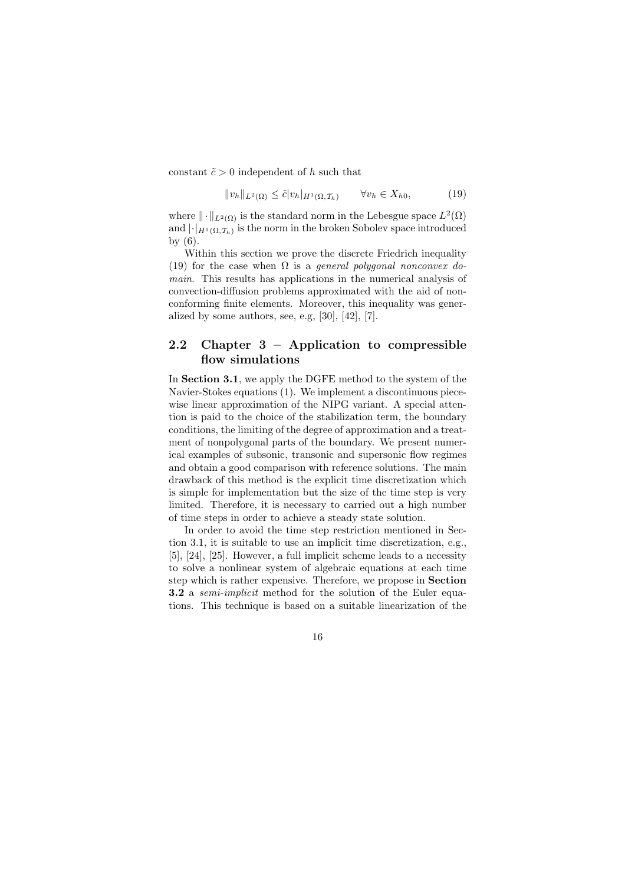constant  $\tilde{c} > 0$  independent of h such that

$$
||v_h||_{L^2(\Omega)} \le \tilde{c}|v_h|_{H^1(\Omega, \mathcal{T}_h)} \qquad \forall v_h \in X_{h0}, \tag{19}
$$

where  $\|\cdot\|_{L^2(\Omega)}$  is the standard norm in the Lebesgue space  $L^2(\Omega)$ and  $\left|\cdot\right|_{H^1(\Omega,\mathcal{T}_h)}$  is the norm in the broken Sobolev space introduced by (6).

Within this section we prove the discrete Friedrich inequality (19) for the case when  $\Omega$  is a general polygonal nonconvex domain. This results has applications in the numerical analysis of convection-diffusion problems approximated with the aid of nonconforming finite elements. Moreover, this inequality was generalized by some authors, see, e.g, [30], [42], [7].

## 2.2 Chapter 3 – Application to compressible flow simulations

In Section 3.1, we apply the DGFE method to the system of the Navier-Stokes equations (1). We implement a discontinuous piecewise linear approximation of the NIPG variant. A special attention is paid to the choice of the stabilization term, the boundary conditions, the limiting of the degree of approximation and a treatment of nonpolygonal parts of the boundary. We present numerical examples of subsonic, transonic and supersonic flow regimes and obtain a good comparison with reference solutions. The main drawback of this method is the explicit time discretization which is simple for implementation but the size of the time step is very limited. Therefore, it is necessary to carried out a high number of time steps in order to achieve a steady state solution.

In order to avoid the time step restriction mentioned in Section 3.1, it is suitable to use an implicit time discretization, e.g., [5], [24], [25]. However, a full implicit scheme leads to a necessity to solve a nonlinear system of algebraic equations at each time step which is rather expensive. Therefore, we propose in Section 3.2 a *semi-implicit* method for the solution of the Euler equations. This technique is based on a suitable linearization of the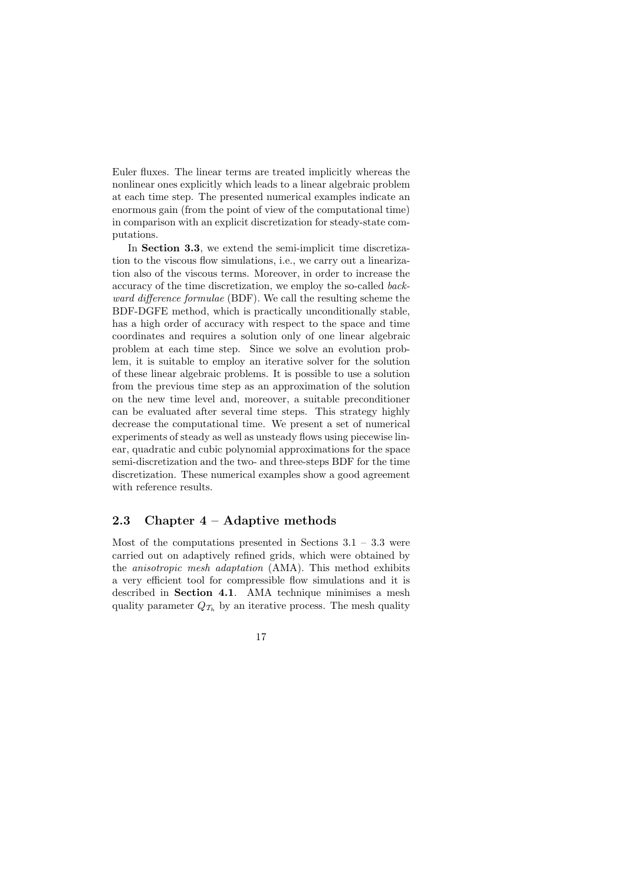Euler fluxes. The linear terms are treated implicitly whereas the nonlinear ones explicitly which leads to a linear algebraic problem at each time step. The presented numerical examples indicate an enormous gain (from the point of view of the computational time) in comparison with an explicit discretization for steady-state computations.

In **Section 3.3**, we extend the semi-implicit time discretization to the viscous flow simulations, i.e., we carry out a linearization also of the viscous terms. Moreover, in order to increase the accuracy of the time discretization, we employ the so-called backward difference formulae (BDF). We call the resulting scheme the BDF-DGFE method, which is practically unconditionally stable, has a high order of accuracy with respect to the space and time coordinates and requires a solution only of one linear algebraic problem at each time step. Since we solve an evolution problem, it is suitable to employ an iterative solver for the solution of these linear algebraic problems. It is possible to use a solution from the previous time step as an approximation of the solution on the new time level and, moreover, a suitable preconditioner can be evaluated after several time steps. This strategy highly decrease the computational time. We present a set of numerical experiments of steady as well as unsteady flows using piecewise linear, quadratic and cubic polynomial approximations for the space semi-discretization and the two- and three-steps BDF for the time discretization. These numerical examples show a good agreement with reference results.

### 2.3 Chapter  $4 -$  Adaptive methods

Most of the computations presented in Sections  $3.1 - 3.3$  were carried out on adaptively refined grids, which were obtained by the anisotropic mesh adaptation (AMA). This method exhibits a very efficient tool for compressible flow simulations and it is described in Section 4.1. AMA technique minimises a mesh quality parameter  $Q_{\mathcal{T}_h}$  by an iterative process. The mesh quality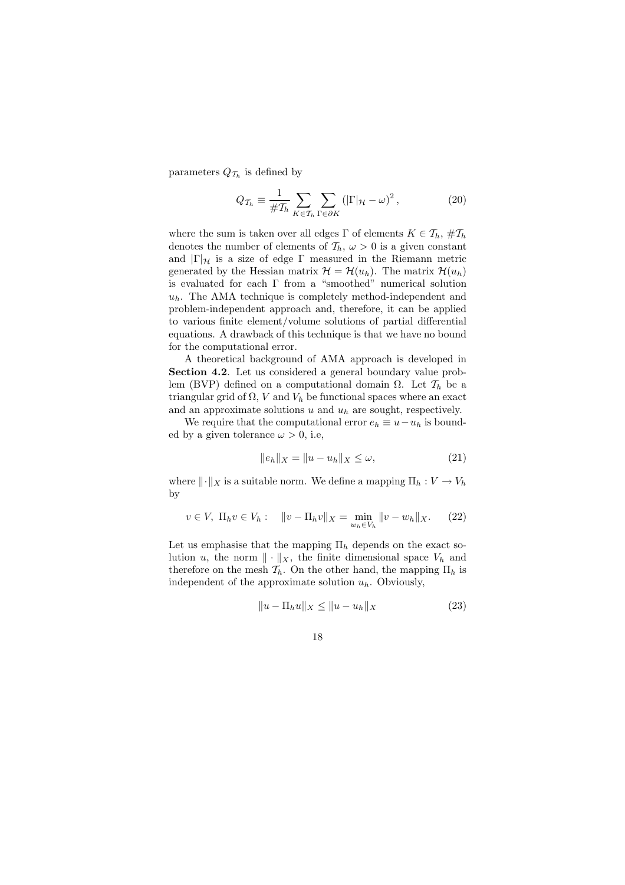parameters  $Q_{\mathcal{T}_h}$  is defined by

$$
Q_{\mathcal{T}_h} \equiv \frac{1}{\#\mathcal{T}_h} \sum_{K \in \mathcal{T}_h} \sum_{\Gamma \in \partial K} \left( |\Gamma|_{\mathcal{H}} - \omega \right)^2, \tag{20}
$$

where the sum is taken over all edges  $\Gamma$  of elements  $K \in \mathcal{T}_h$ ,  $\# \mathcal{T}_h$ denotes the number of elements of  $\mathcal{T}_h$ ,  $\omega > 0$  is a given constant and  $|\Gamma|_{\mathcal{H}}$  is a size of edge  $\Gamma$  measured in the Riemann metric generated by the Hessian matrix  $\mathcal{H} = \mathcal{H}(u_h)$ . The matrix  $\mathcal{H}(u_h)$ is evaluated for each  $\Gamma$  from a "smoothed" numerical solution  $u_h$ . The AMA technique is completely method-independent and problem-independent approach and, therefore, it can be applied to various finite element/volume solutions of partial differential equations. A drawback of this technique is that we have no bound for the computational error.

A theoretical background of AMA approach is developed in Section 4.2. Let us considered a general boundary value problem (BVP) defined on a computational domain  $\Omega$ . Let  $\mathcal{T}_h$  be a triangular grid of  $\Omega$ , V and  $V_h$  be functional spaces where an exact and an approximate solutions  $u$  and  $u_h$  are sought, respectively.

We require that the computational error  $e_h \equiv u - u_h$  is bounded by a given tolerance  $\omega > 0$ , i.e.

$$
\|e_h\|_X = \|u - u_h\|_X \le \omega,
$$
\n(21)

where  $\|\cdot\|_X$  is a suitable norm. We define a mapping  $\Pi_h : V \to V_h$ by

$$
v \in V, \ \Pi_h v \in V_h: \quad \|v - \Pi_h v\|_X = \min_{w_h \in V_h} \|v - w_h\|_X. \tag{22}
$$

Let us emphasise that the mapping  $\Pi_h$  depends on the exact solution u, the norm  $\|\cdot\|_X$ , the finite dimensional space  $V_h$  and therefore on the mesh  $\mathcal{T}_h$ . On the other hand, the mapping  $\Pi_h$  is independent of the approximate solution  $u_h$ . Obviously,

$$
||u - \Pi_h u||_X \le ||u - u_h||_X
$$
 (23)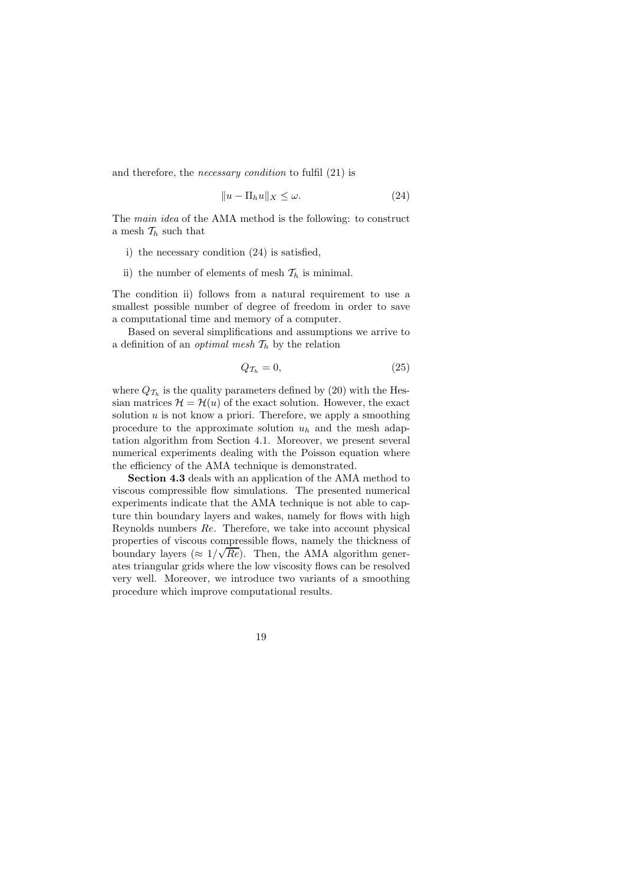and therefore, the necessary condition to fulfil (21) is

$$
||u - \Pi_h u||_X \le \omega.
$$
 (24)

The main idea of the AMA method is the following: to construct a mesh  $\mathcal{T}_h$  such that

- i) the necessary condition (24) is satisfied,
- ii) the number of elements of mesh  $\mathcal{T}_h$  is minimal.

The condition ii) follows from a natural requirement to use a smallest possible number of degree of freedom in order to save a computational time and memory of a computer.

Based on several simplifications and assumptions we arrive to a definition of an *optimal mesh*  $\mathcal{T}_h$  by the relation

$$
Q_{\mathcal{T}_h} = 0,\tag{25}
$$

where  $Q_{\mathcal{T}_h}$  is the quality parameters defined by (20) with the Hessian matrices  $\mathcal{H} = \mathcal{H}(u)$  of the exact solution. However, the exact solution  $u$  is not know a priori. Therefore, we apply a smoothing procedure to the approximate solution  $u_h$  and the mesh adaptation algorithm from Section 4.1. Moreover, we present several numerical experiments dealing with the Poisson equation where the efficiency of the AMA technique is demonstrated.

Section 4.3 deals with an application of the AMA method to viscous compressible flow simulations. The presented numerical experiments indicate that the AMA technique is not able to capture thin boundary layers and wakes, namely for flows with high Reynolds numbers Re. Therefore, we take into account physical properties of viscous compressible flows, namely the thickness of boundary layers ( $\approx 1/\sqrt{Re}$ ). Then, the AMA algorithm generates triangular grids where the low viscosity flows can be resolved very well. Moreover, we introduce two variants of a smoothing procedure which improve computational results.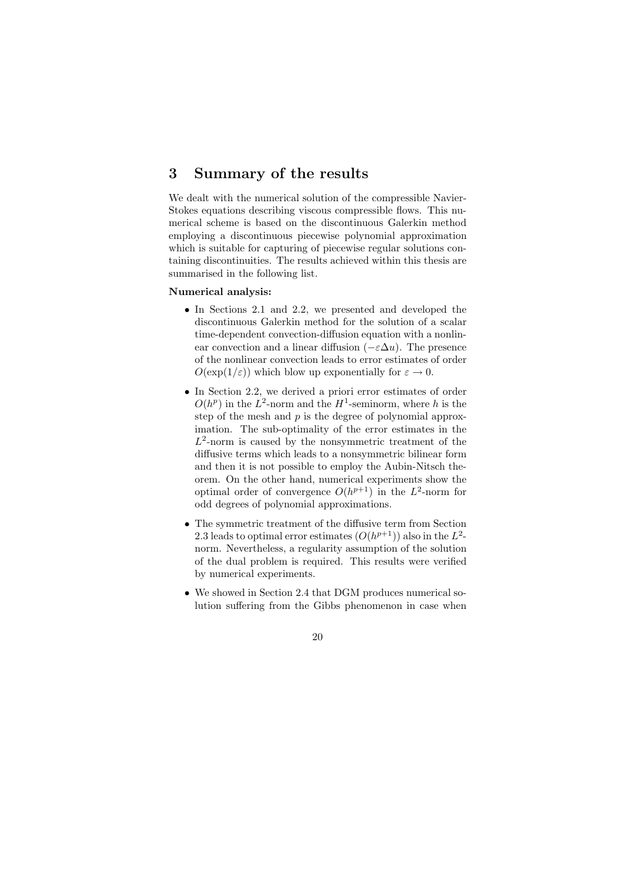# 3 Summary of the results

We dealt with the numerical solution of the compressible Navier-Stokes equations describing viscous compressible flows. This numerical scheme is based on the discontinuous Galerkin method employing a discontinuous piecewise polynomial approximation which is suitable for capturing of piecewise regular solutions containing discontinuities. The results achieved within this thesis are summarised in the following list.

### Numerical analysis:

- In Sections 2.1 and 2.2, we presented and developed the discontinuous Galerkin method for the solution of a scalar time-dependent convection-diffusion equation with a nonlinear convection and a linear diffusion ( $-\varepsilon \Delta u$ ). The presence of the nonlinear convection leads to error estimates of order  $O(\exp(1/\varepsilon))$  which blow up exponentially for  $\varepsilon \to 0$ .
- In Section 2.2, we derived a priori error estimates of order  $O(h^p)$  in the  $L^2$ -norm and the  $H^1$ -seminorm, where h is the step of the mesh and  $p$  is the degree of polynomial approximation. The sub-optimality of the error estimates in the  $L^2$ -norm is caused by the nonsymmetric treatment of the diffusive terms which leads to a nonsymmetric bilinear form and then it is not possible to employ the Aubin-Nitsch theorem. On the other hand, numerical experiments show the optimal order of convergence  $O(h^{p+1})$  in the  $L^2$ -norm for odd degrees of polynomial approximations.
- The symmetric treatment of the diffusive term from Section 2.3 leads to optimal error estimates  $(O(h^{p+1}))$  also in the  $L^2$ norm. Nevertheless, a regularity assumption of the solution of the dual problem is required. This results were verified by numerical experiments.
- We showed in Section 2.4 that DGM produces numerical solution suffering from the Gibbs phenomenon in case when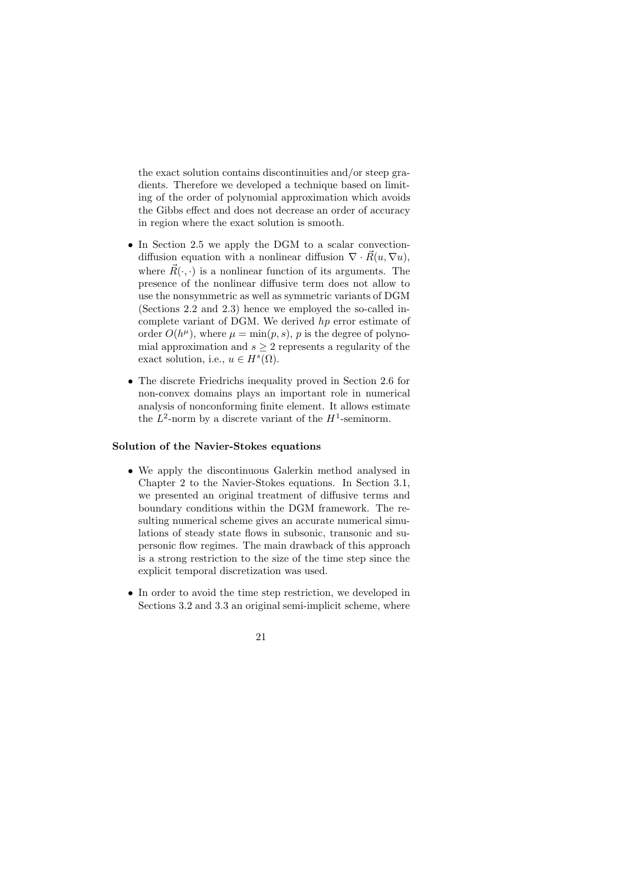the exact solution contains discontinuities and/or steep gradients. Therefore we developed a technique based on limiting of the order of polynomial approximation which avoids the Gibbs effect and does not decrease an order of accuracy in region where the exact solution is smooth.

- In Section 2.5 we apply the DGM to a scalar convectiondiffusion equation with a nonlinear diffusion  $\nabla \cdot \vec{R}(u, \nabla u)$ , where  $\vec{R}(\cdot, \cdot)$  is a nonlinear function of its arguments. The presence of the nonlinear diffusive term does not allow to use the nonsymmetric as well as symmetric variants of DGM (Sections 2.2 and 2.3) hence we employed the so-called incomplete variant of DGM. We derived hp error estimate of order  $O(h^{\mu})$ , where  $\mu = \min(p, s)$ , p is the degree of polynomial approximation and  $s \geq 2$  represents a regularity of the exact solution, i.e.,  $u \in H<sup>s</sup>(\Omega)$ .
- The discrete Friedrichs inequality proved in Section 2.6 for non-convex domains plays an important role in numerical analysis of nonconforming finite element. It allows estimate the  $L^2$ -norm by a discrete variant of the  $H^1$ -seminorm.

### Solution of the Navier-Stokes equations

- We apply the discontinuous Galerkin method analysed in Chapter 2 to the Navier-Stokes equations. In Section 3.1, we presented an original treatment of diffusive terms and boundary conditions within the DGM framework. The resulting numerical scheme gives an accurate numerical simulations of steady state flows in subsonic, transonic and supersonic flow regimes. The main drawback of this approach is a strong restriction to the size of the time step since the explicit temporal discretization was used.
- In order to avoid the time step restriction, we developed in Sections 3.2 and 3.3 an original semi-implicit scheme, where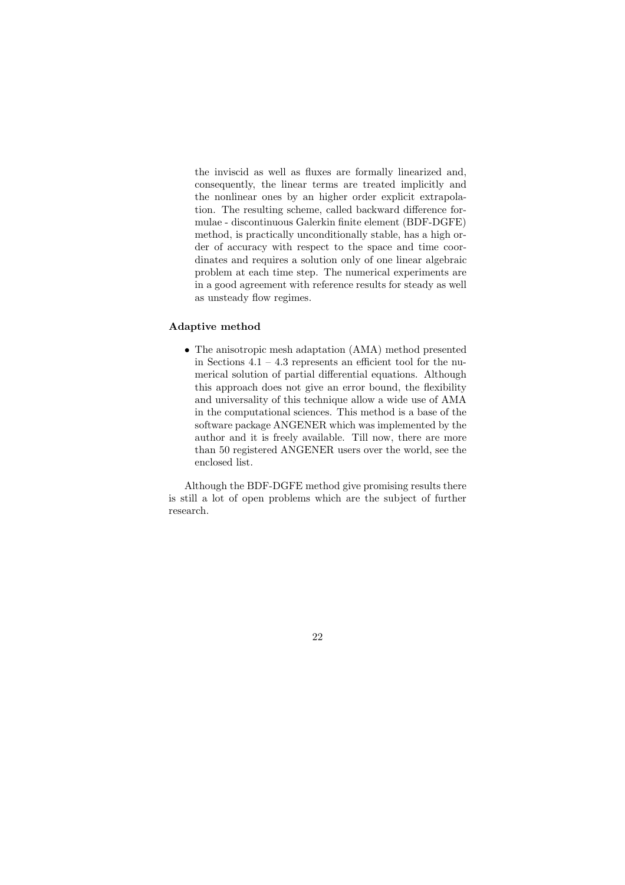the inviscid as well as fluxes are formally linearized and, consequently, the linear terms are treated implicitly and the nonlinear ones by an higher order explicit extrapolation. The resulting scheme, called backward difference formulae - discontinuous Galerkin finite element (BDF-DGFE) method, is practically unconditionally stable, has a high order of accuracy with respect to the space and time coordinates and requires a solution only of one linear algebraic problem at each time step. The numerical experiments are in a good agreement with reference results for steady as well as unsteady flow regimes.

#### Adaptive method

• The anisotropic mesh adaptation (AMA) method presented in Sections  $4.1 - 4.3$  represents an efficient tool for the numerical solution of partial differential equations. Although this approach does not give an error bound, the flexibility and universality of this technique allow a wide use of AMA in the computational sciences. This method is a base of the software package ANGENER which was implemented by the author and it is freely available. Till now, there are more than 50 registered ANGENER users over the world, see the enclosed list.

Although the BDF-DGFE method give promising results there is still a lot of open problems which are the subject of further research.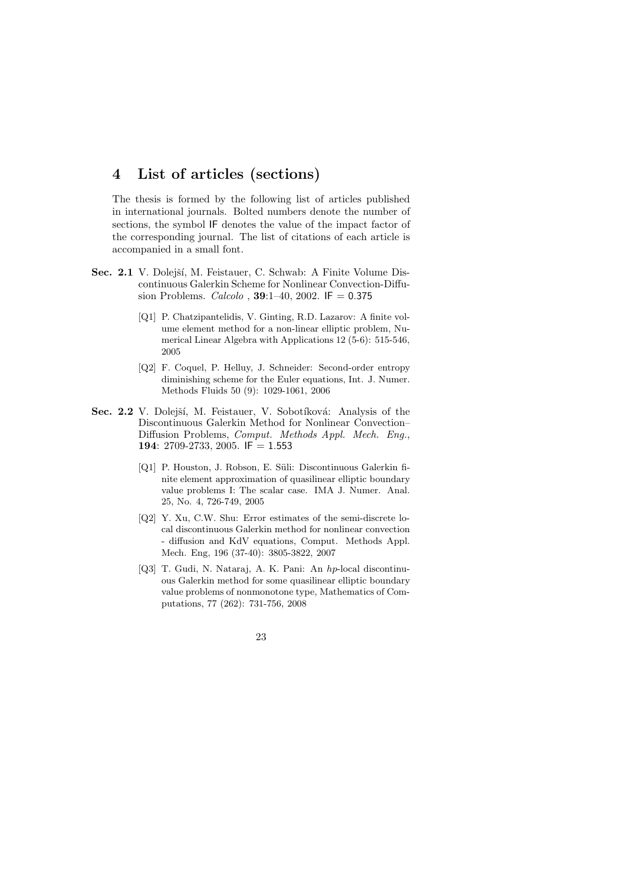# 4 List of articles (sections)

The thesis is formed by the following list of articles published in international journals. Bolted numbers denote the number of sections, the symbol IF denotes the value of the impact factor of the corresponding journal. The list of citations of each article is accompanied in a small font.

- Sec. 2.1 V. Dolejší, M. Feistauer, C. Schwab: A Finite Volume Discontinuous Galerkin Scheme for Nonlinear Convection-Diffusion Problems. *Calcolo* , **39**:1-40, 2002. IF =  $0.375$ 
	- [Q1] P. Chatzipantelidis, V. Ginting, R.D. Lazarov: A finite volume element method for a non-linear elliptic problem, Numerical Linear Algebra with Applications 12 (5-6): 515-546, 2005
	- [Q2] F. Coquel, P. Helluy, J. Schneider: Second-order entropy diminishing scheme for the Euler equations, Int. J. Numer. Methods Fluids 50 (9): 1029-1061, 2006
- Sec. 2.2 V. Dolejší, M. Feistauer, V. Sobotíková: Analysis of the Discontinuous Galerkin Method for Nonlinear Convection– Diffusion Problems, Comput. Methods Appl. Mech. Eng., 194: 2709-2733, 2005. IF = 1.553
	- [Q1] P. Houston, J. Robson, E. Süli: Discontinuous Galerkin finite element approximation of quasilinear elliptic boundary value problems I: The scalar case. IMA J. Numer. Anal. 25, No. 4, 726-749, 2005
	- [Q2] Y. Xu, C.W. Shu: Error estimates of the semi-discrete local discontinuous Galerkin method for nonlinear convection - diffusion and KdV equations, Comput. Methods Appl. Mech. Eng, 196 (37-40): 3805-3822, 2007
	- [Q3] T. Gudi, N. Nataraj, A. K. Pani: An hp-local discontinuous Galerkin method for some quasilinear elliptic boundary value problems of nonmonotone type, Mathematics of Computations, 77 (262): 731-756, 2008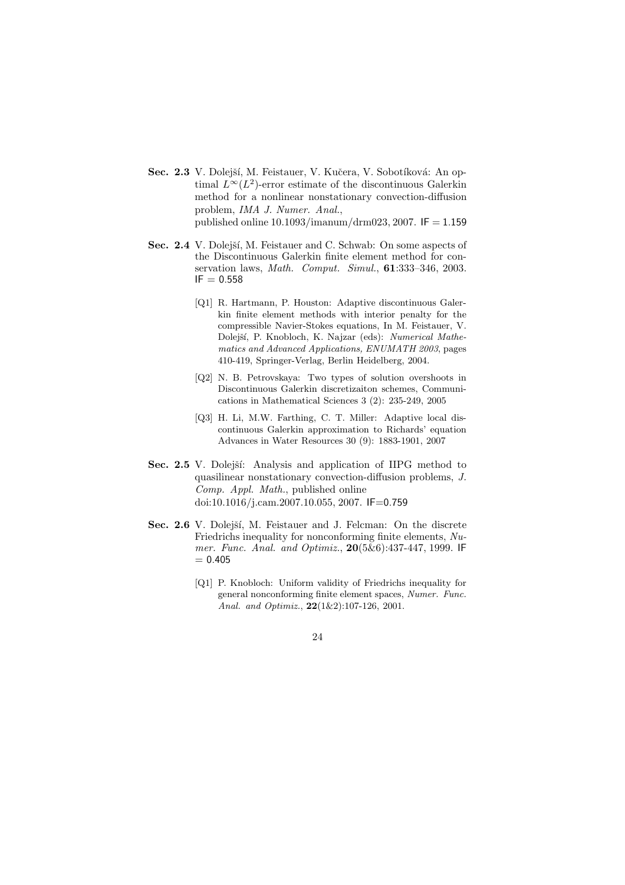- Sec. 2.3 V. Dolejší, M. Feistauer, V. Kučera, V. Sobotíková: An optimal  $L^{\infty}(L^2)$ -error estimate of the discontinuous Galerkin method for a nonlinear nonstationary convection-diffusion problem, IMA J. Numer. Anal., published online  $10.1093/$ imanum/drm023, 2007. IF = 1.159
- Sec. 2.4 V. Dolejší, M. Feistauer and C. Schwab: On some aspects of the Discontinuous Galerkin finite element method for conservation laws, Math. Comput. Simul., 61:333–346, 2003.  $IF = 0.558$ 
	- [Q1] R. Hartmann, P. Houston: Adaptive discontinuous Galerkin finite element methods with interior penalty for the compressible Navier-Stokes equations, In M. Feistauer, V. Dolejší, P. Knobloch, K. Najzar (eds): Numerical Mathematics and Advanced Applications, ENUMATH 2003, pages 410-419, Springer-Verlag, Berlin Heidelberg, 2004.
	- [Q2] N. B. Petrovskaya: Two types of solution overshoots in Discontinuous Galerkin discretizaiton schemes, Communications in Mathematical Sciences 3 (2): 235-249, 2005
	- [Q3] H. Li, M.W. Farthing, C. T. Miller: Adaptive local discontinuous Galerkin approximation to Richards' equation Advances in Water Resources 30 (9): 1883-1901, 2007
- Sec. 2.5 V. Dolejší: Analysis and application of IIPG method to quasilinear nonstationary convection-diffusion problems, J. Comp. Appl. Math., published online doi:10.1016/j.cam.2007.10.055, 2007. IF=0.759
- Sec. 2.6 V. Dolejší, M. Feistauer and J. Felcman: On the discrete Friedrichs inequality for nonconforming finite elements,  $Nu$ mer. Func. Anal. and Optimiz., 20(5&6):437-447, 1999. IF  $= 0.405$ 
	- [Q1] P. Knobloch: Uniform validity of Friedrichs inequality for general nonconforming finite element spaces, Numer. Func. Anal. and Optimiz.,  $22(1&2)$ :107-126, 2001.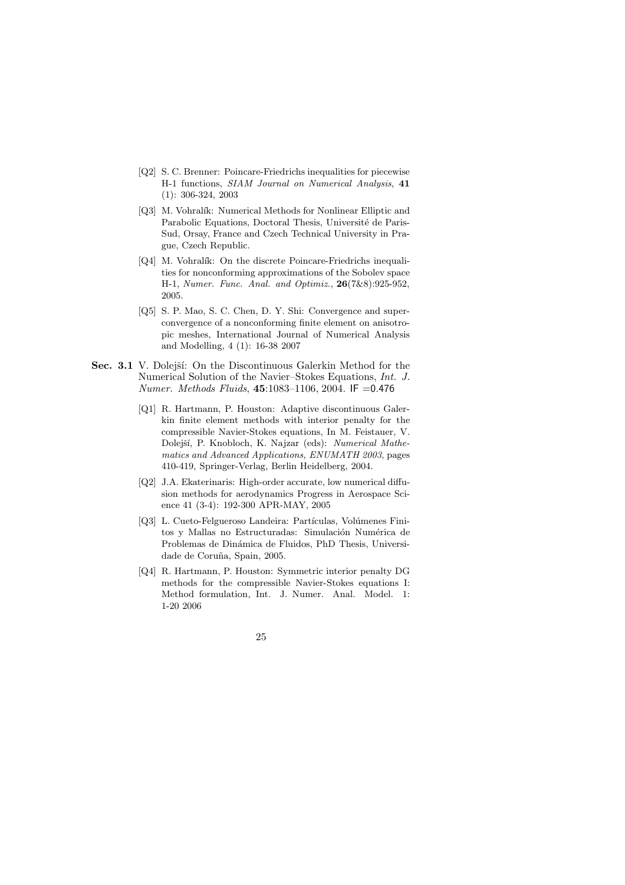- [Q2] S. C. Brenner: Poincare-Friedrichs inequalities for piecewise H-1 functions, SIAM Journal on Numerical Analysis, 41 (1): 306-324, 2003
- [Q3] M. Vohralík: Numerical Methods for Nonlinear Elliptic and Parabolic Equations, Doctoral Thesis, Université de Paris-Sud, Orsay, France and Czech Technical University in Prague, Czech Republic.
- [Q4] M. Vohralík: On the discrete Poincare-Friedrichs inequalities for nonconforming approximations of the Sobolev space H-1, Numer. Func. Anal. and Optimiz., 26(7&8):925-952, 2005.
- [Q5] S. P. Mao, S. C. Chen, D. Y. Shi: Convergence and superconvergence of a nonconforming finite element on anisotropic meshes, International Journal of Numerical Analysis and Modelling, 4 (1): 16-38 2007
- Sec. 3.1 V. Dolejší: On the Discontinuous Galerkin Method for the Numerical Solution of the Navier–Stokes Equations, Int. J. Numer. Methods Fluids, 45:1083–1106, 2004. IF =0.476
	- [Q1] R. Hartmann, P. Houston: Adaptive discontinuous Galerkin finite element methods with interior penalty for the compressible Navier-Stokes equations, In M. Feistauer, V. Dolejší, P. Knobloch, K. Najzar (eds): Numerical Mathematics and Advanced Applications, ENUMATH 2003, pages 410-419, Springer-Verlag, Berlin Heidelberg, 2004.
	- [Q2] J.A. Ekaterinaris: High-order accurate, low numerical diffusion methods for aerodynamics Progress in Aerospace Science 41 (3-4): 192-300 APR-MAY, 2005
	- [Q3] L. Cueto-Felgueroso Landeira: Partículas, Volúmenes Finitos y Mallas no Estructuradas: Simulación Numérica de Problemas de Dinámica de Fluidos, PhD Thesis, Universidade de Coruña, Spain, 2005.
	- [Q4] R. Hartmann, P. Houston: Symmetric interior penalty DG methods for the compressible Navier-Stokes equations I: Method formulation, Int. J. Numer. Anal. Model. 1: 1-20 2006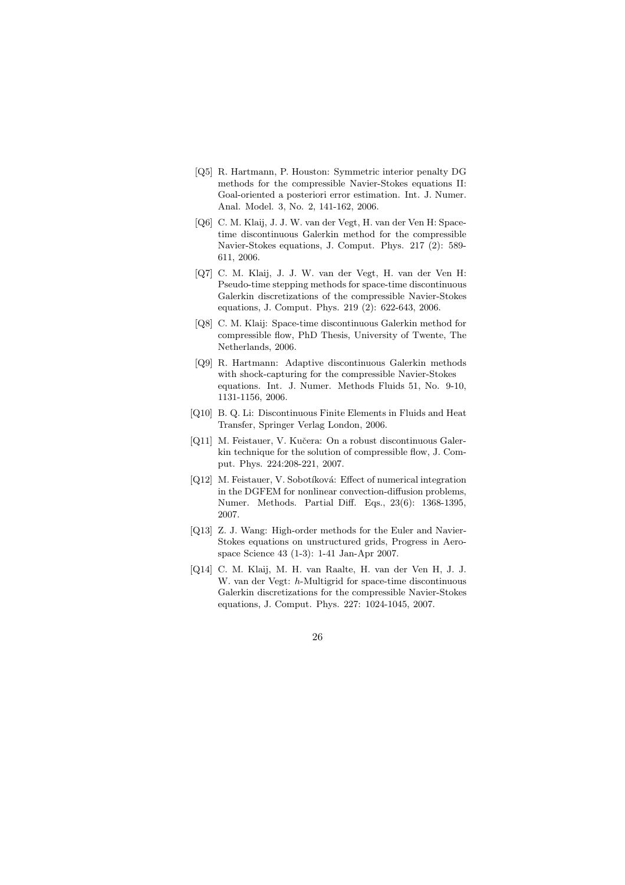- [Q5] R. Hartmann, P. Houston: Symmetric interior penalty DG methods for the compressible Navier-Stokes equations II: Goal-oriented a posteriori error estimation. Int. J. Numer. Anal. Model. 3, No. 2, 141-162, 2006.
- [Q6] C. M. Klaij, J. J. W. van der Vegt, H. van der Ven H: Spacetime discontinuous Galerkin method for the compressible Navier-Stokes equations, J. Comput. Phys. 217 (2): 589- 611, 2006.
- [Q7] C. M. Klaij, J. J. W. van der Vegt, H. van der Ven H: Pseudo-time stepping methods for space-time discontinuous Galerkin discretizations of the compressible Navier-Stokes equations, J. Comput. Phys. 219 (2): 622-643, 2006.
- [Q8] C. M. Klaij: Space-time discontinuous Galerkin method for compressible flow, PhD Thesis, University of Twente, The Netherlands, 2006.
- [Q9] R. Hartmann: Adaptive discontinuous Galerkin methods with shock-capturing for the compressible Navier-Stokes equations. Int. J. Numer. Methods Fluids 51, No. 9-10, 1131-1156, 2006.
- [Q10] B. Q. Li: Discontinuous Finite Elements in Fluids and Heat Transfer, Springer Verlag London, 2006.
- [Q11] M. Feistauer, V. Kučera: On a robust discontinuous Galerkin technique for the solution of compressible flow, J. Comput. Phys. 224:208-221, 2007.
- [Q12] M. Feistauer, V. Sobotíková: Effect of numerical integration in the DGFEM for nonlinear convection-diffusion problems, Numer. Methods. Partial Diff. Eqs., 23(6): 1368-1395, 2007.
- [Q13] Z. J. Wang: High-order methods for the Euler and Navier-Stokes equations on unstructured grids, Progress in Aerospace Science 43 (1-3): 1-41 Jan-Apr 2007.
- [Q14] C. M. Klaij, M. H. van Raalte, H. van der Ven H, J. J. W. van der Vegt: h-Multigrid for space-time discontinuous Galerkin discretizations for the compressible Navier-Stokes equations, J. Comput. Phys. 227: 1024-1045, 2007.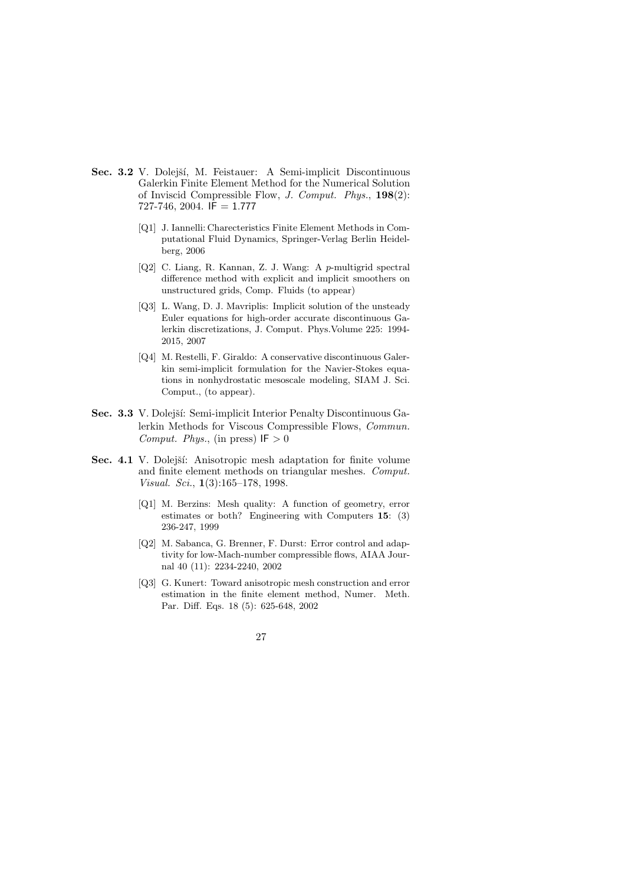- Sec. 3.2 V. Dolejší, M. Feistauer: A Semi-implicit Discontinuous Galerkin Finite Element Method for the Numerical Solution of Inviscid Compressible Flow, J. Comput. Phys., 198(2):  $727-746$ , 2004. IF = 1.777
	- [Q1] J. Iannelli: Charecteristics Finite Element Methods in Computational Fluid Dynamics, Springer-Verlag Berlin Heidelberg, 2006
	- [Q2] C. Liang, R. Kannan, Z. J. Wang: A p-multigrid spectral difference method with explicit and implicit smoothers on unstructured grids, Comp. Fluids (to appear)
	- [Q3] L. Wang, D. J. Mavriplis: Implicit solution of the unsteady Euler equations for high-order accurate discontinuous Galerkin discretizations, J. Comput. Phys.Volume 225: 1994- 2015, 2007
	- [Q4] M. Restelli, F. Giraldo: A conservative discontinuous Galerkin semi-implicit formulation for the Navier-Stokes equations in nonhydrostatic mesoscale modeling, SIAM J. Sci. Comput., (to appear).
- Sec. 3.3 V. Dolejší: Semi-implicit Interior Penalty Discontinuous Galerkin Methods for Viscous Compressible Flows, Commun. Comput. Phys., (in press)  $IF > 0$
- Sec. 4.1 V. Dolejší: Anisotropic mesh adaptation for finite volume and finite element methods on triangular meshes. Comput. Visual. Sci., 1(3):165–178, 1998.
	- [Q1] M. Berzins: Mesh quality: A function of geometry, error estimates or both? Engineering with Computers 15: (3) 236-247, 1999
	- [Q2] M. Sabanca, G. Brenner, F. Durst: Error control and adaptivity for low-Mach-number compressible flows, AIAA Journal 40 (11): 2234-2240, 2002
	- [Q3] G. Kunert: Toward anisotropic mesh construction and error estimation in the finite element method, Numer. Meth. Par. Diff. Eqs. 18 (5): 625-648, 2002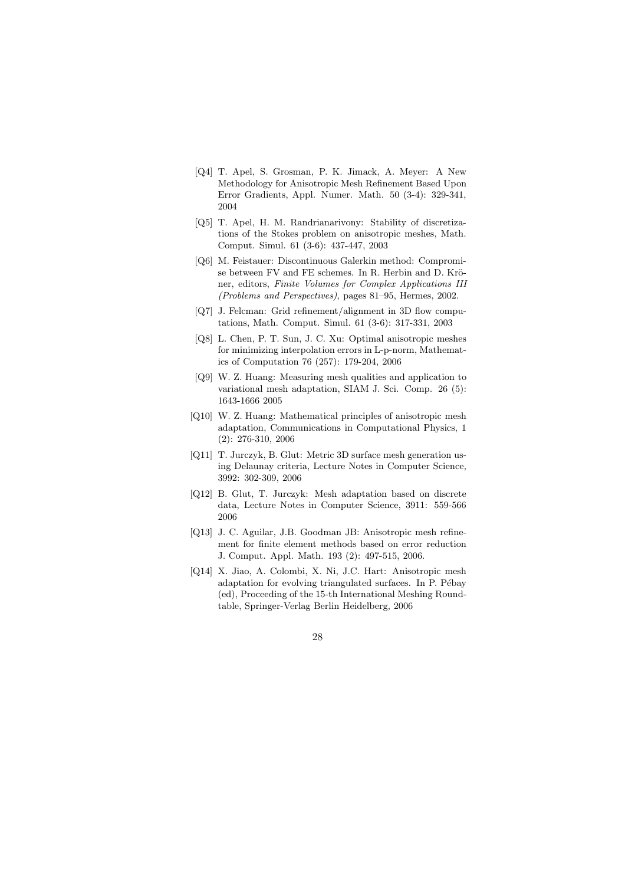- [Q4] T. Apel, S. Grosman, P. K. Jimack, A. Meyer: A New Methodology for Anisotropic Mesh Refinement Based Upon Error Gradients, Appl. Numer. Math. 50 (3-4): 329-341, 2004
- [Q5] T. Apel, H. M. Randrianarivony: Stability of discretizations of the Stokes problem on anisotropic meshes, Math. Comput. Simul. 61 (3-6): 437-447, 2003
- [Q6] M. Feistauer: Discontinuous Galerkin method: Compromise between FV and FE schemes. In R. Herbin and D. Kröner, editors, Finite Volumes for Complex Applications III (Problems and Perspectives), pages 81–95, Hermes, 2002.
- [Q7] J. Felcman: Grid refinement/alignment in 3D flow computations, Math. Comput. Simul. 61 (3-6): 317-331, 2003
- [Q8] L. Chen, P. T. Sun, J. C. Xu: Optimal anisotropic meshes for minimizing interpolation errors in L-p-norm, Mathematics of Computation 76 (257): 179-204, 2006
- [Q9] W. Z. Huang: Measuring mesh qualities and application to variational mesh adaptation, SIAM J. Sci. Comp. 26 (5): 1643-1666 2005
- [Q10] W. Z. Huang: Mathematical principles of anisotropic mesh adaptation, Communications in Computational Physics, 1 (2): 276-310, 2006
- [Q11] T. Jurczyk, B. Glut: Metric 3D surface mesh generation using Delaunay criteria, Lecture Notes in Computer Science, 3992: 302-309, 2006
- [Q12] B. Glut, T. Jurczyk: Mesh adaptation based on discrete data, Lecture Notes in Computer Science, 3911: 559-566 2006
- [Q13] J. C. Aguilar, J.B. Goodman JB: Anisotropic mesh refinement for finite element methods based on error reduction J. Comput. Appl. Math. 193 (2): 497-515, 2006.
- [Q14] X. Jiao, A. Colombi, X. Ni, J.C. Hart: Anisotropic mesh adaptation for evolving triangulated surfaces. In P. Pébay (ed), Proceeding of the 15-th International Meshing Roundtable, Springer-Verlag Berlin Heidelberg, 2006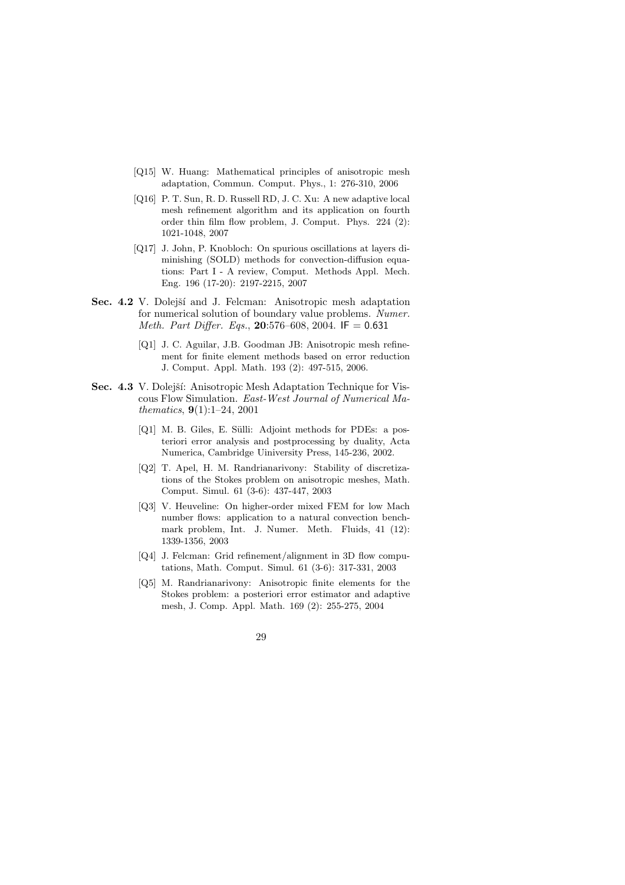- [Q15] W. Huang: Mathematical principles of anisotropic mesh adaptation, Commun. Comput. Phys., 1: 276-310, 2006
- [Q16] P. T. Sun, R. D. Russell RD, J. C. Xu: A new adaptive local mesh refinement algorithm and its application on fourth order thin film flow problem, J. Comput. Phys. 224 (2): 1021-1048, 2007
- [Q17] J. John, P. Knobloch: On spurious oscillations at layers diminishing (SOLD) methods for convection-diffusion equations: Part I - A review, Comput. Methods Appl. Mech. Eng. 196 (17-20): 2197-2215, 2007
- Sec. 4.2 V. Dolejší and J. Felcman: Anisotropic mesh adaptation for numerical solution of boundary value problems. Numer. Meth. Part Differ. Eqs., 20:576-608, 2004. IF =  $0.631$ 
	- [Q1] J. C. Aguilar, J.B. Goodman JB: Anisotropic mesh refinement for finite element methods based on error reduction J. Comput. Appl. Math. 193 (2): 497-515, 2006.
- Sec. 4.3 V. Dolejší: Anisotropic Mesh Adaptation Technique for Viscous Flow Simulation. East-West Journal of Numerical Mathematics, 9(1):1–24, 2001
	- [Q1] M. B. Giles, E. Sülli: Adjoint methods for PDEs: a posteriori error analysis and postprocessing by duality, Acta Numerica, Cambridge Uiniversity Press, 145-236, 2002.
	- [Q2] T. Apel, H. M. Randrianarivony: Stability of discretizations of the Stokes problem on anisotropic meshes, Math. Comput. Simul. 61 (3-6): 437-447, 2003
	- [Q3] V. Heuveline: On higher-order mixed FEM for low Mach number flows: application to a natural convection benchmark problem, Int. J. Numer. Meth. Fluids, 41 (12): 1339-1356, 2003
	- [Q4] J. Felcman: Grid refinement/alignment in 3D flow computations, Math. Comput. Simul. 61 (3-6): 317-331, 2003
	- [Q5] M. Randrianarivony: Anisotropic finite elements for the Stokes problem: a posteriori error estimator and adaptive mesh, J. Comp. Appl. Math. 169 (2): 255-275, 2004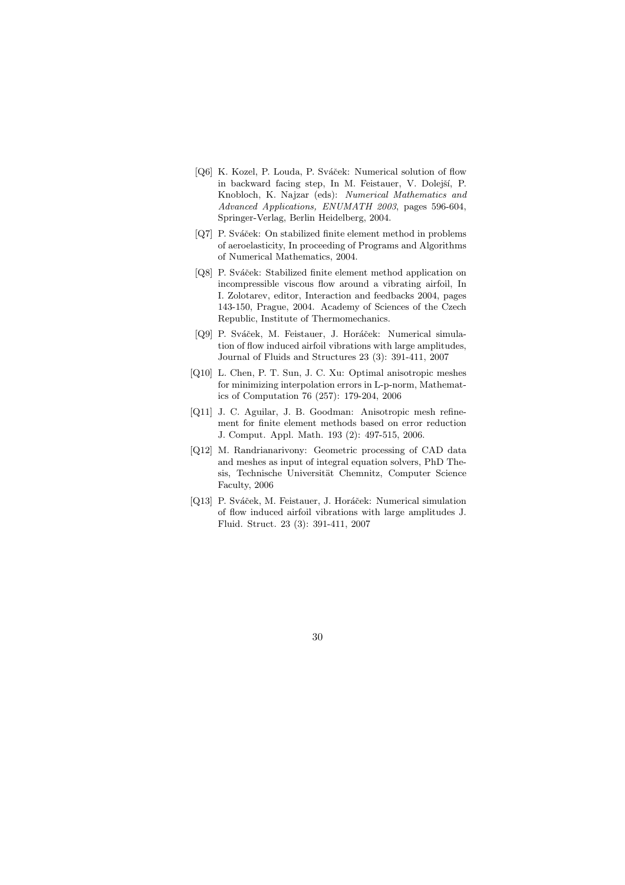- [Q6] K. Kozel, P. Louda, P. Sváček: Numerical solution of flow in backward facing step, In M. Feistauer, V. Dolejší, P. Knobloch, K. Najzar (eds): Numerical Mathematics and Advanced Applications, ENUMATH 2003, pages 596-604, Springer-Verlag, Berlin Heidelberg, 2004.
- [Q7] P. Sváček: On stabilized finite element method in problems of aeroelasticity, In proceeding of Programs and Algorithms of Numerical Mathematics, 2004.
- [Q8] P. Sváček: Stabilized finite element method application on incompressible viscous flow around a vibrating airfoil, In I. Zolotarev, editor, Interaction and feedbacks 2004, pages 143-150, Prague, 2004. Academy of Sciences of the Czech Republic, Institute of Thermomechanics.
- [Q9] P. Sváček, M. Feistauer, J. Horáček: Numerical simulation of flow induced airfoil vibrations with large amplitudes, Journal of Fluids and Structures 23 (3): 391-411, 2007
- [Q10] L. Chen, P. T. Sun, J. C. Xu: Optimal anisotropic meshes for minimizing interpolation errors in L-p-norm, Mathematics of Computation 76 (257): 179-204, 2006
- [Q11] J. C. Aguilar, J. B. Goodman: Anisotropic mesh refinement for finite element methods based on error reduction J. Comput. Appl. Math. 193 (2): 497-515, 2006.
- [Q12] M. Randrianarivony: Geometric processing of CAD data and meshes as input of integral equation solvers, PhD Thesis, Technische Universität Chemnitz, Computer Science Faculty, 2006
- [Q13] P. Sváček, M. Feistauer, J. Horáček: Numerical simulation of flow induced airfoil vibrations with large amplitudes J. Fluid. Struct. 23 (3): 391-411, 2007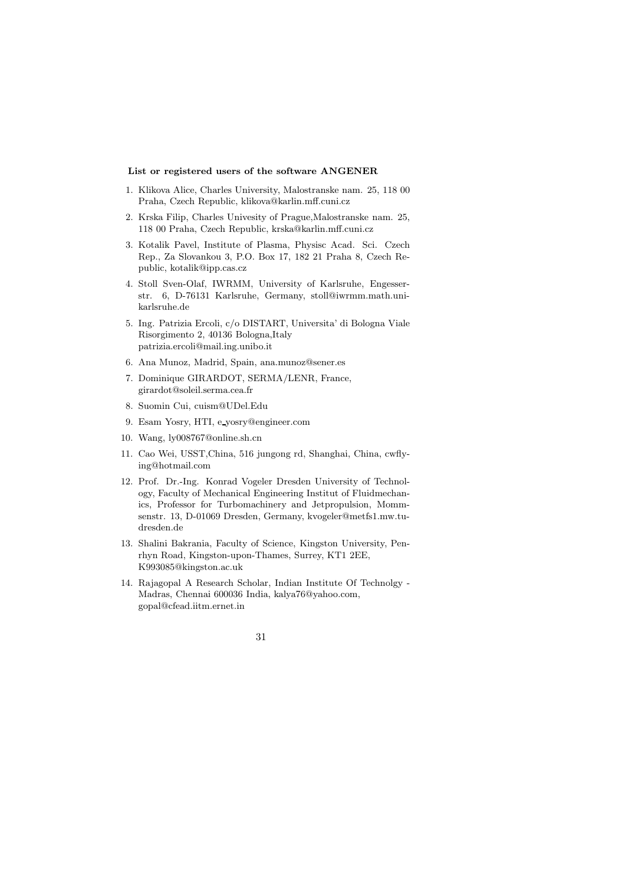#### List or registered users of the software ANGENER

- 1. Klikova Alice, Charles University, Malostranske nam. 25, 118 00 Praha, Czech Republic, klikova@karlin.mff.cuni.cz
- 2. Krska Filip, Charles Univesity of Prague,Malostranske nam. 25, 118 00 Praha, Czech Republic, krska@karlin.mff.cuni.cz
- 3. Kotalik Pavel, Institute of Plasma, Physisc Acad. Sci. Czech Rep., Za Slovankou 3, P.O. Box 17, 182 21 Praha 8, Czech Republic, kotalik@ipp.cas.cz
- 4. Stoll Sven-Olaf, IWRMM, University of Karlsruhe, Engesserstr. 6, D-76131 Karlsruhe, Germany, stoll@iwrmm.math.unikarlsruhe.de
- 5. Ing. Patrizia Ercoli, c/o DISTART, Universita' di Bologna Viale Risorgimento 2, 40136 Bologna,Italy patrizia.ercoli@mail.ing.unibo.it
- 6. Ana Munoz, Madrid, Spain, ana.munoz@sener.es
- 7. Dominique GIRARDOT, SERMA/LENR, France, girardot@soleil.serma.cea.fr
- 8. Suomin Cui, cuism@UDel.Edu
- 9. Esam Yosry, HTI, e yosry@engineer.com
- 10. Wang, ly008767@online.sh.cn
- 11. Cao Wei, USST,China, 516 jungong rd, Shanghai, China, cwflying@hotmail.com
- 12. Prof. Dr.-Ing. Konrad Vogeler Dresden University of Technology, Faculty of Mechanical Engineering Institut of Fluidmechanics, Professor for Turbomachinery and Jetpropulsion, Mommsenstr. 13, D-01069 Dresden, Germany, kvogeler@metfs1.mw.tudresden.de
- 13. Shalini Bakrania, Faculty of Science, Kingston University, Penrhyn Road, Kingston-upon-Thames, Surrey, KT1 2EE, K993085@kingston.ac.uk
- 14. Rajagopal A Research Scholar, Indian Institute Of Technolgy Madras, Chennai 600036 India, kalya76@yahoo.com, gopal@cfead.iitm.ernet.in

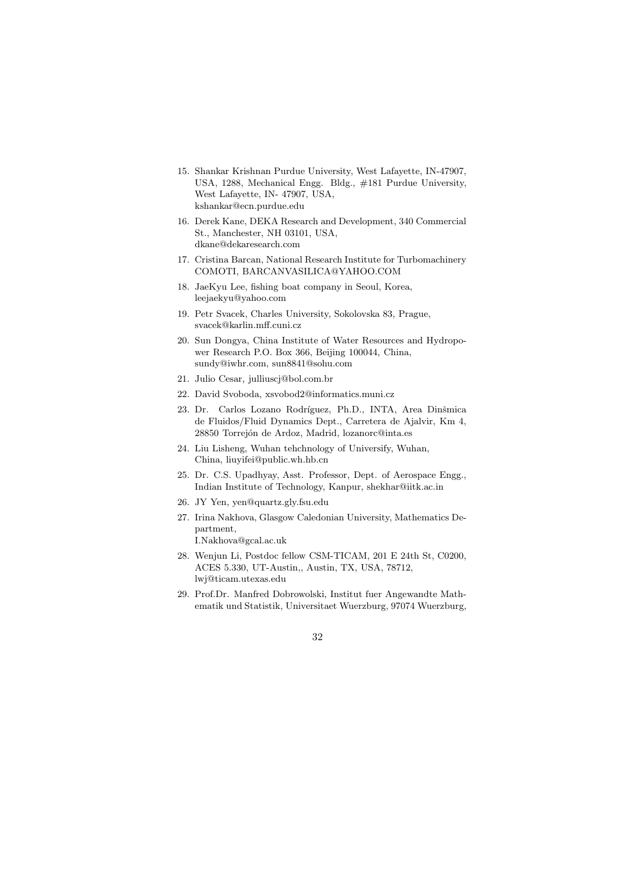- 15. Shankar Krishnan Purdue University, West Lafayette, IN-47907, USA, 1288, Mechanical Engg. Bldg., #181 Purdue University, West Lafayette, IN- 47907, USA, kshankar@ecn.purdue.edu
- 16. Derek Kane, DEKA Research and Development, 340 Commercial St., Manchester, NH 03101, USA, dkane@dekaresearch.com
- 17. Cristina Barcan, National Research Institute for Turbomachinery COMOTI, BARCANVASILICA@YAHOO.COM
- 18. JaeKyu Lee, fishing boat company in Seoul, Korea, leejaekyu@yahoo.com
- 19. Petr Svacek, Charles University, Sokolovska 83, Prague, svacek@karlin.mff.cuni.cz
- 20. Sun Dongya, China Institute of Water Resources and Hydropower Research P.O. Box 366, Beijing 100044, China, sundy@iwhr.com, sun8841@sohu.com
- 21. Julio Cesar, julliuscj@bol.com.br
- 22. David Svoboda, xsvobod2@informatics.muni.cz
- 23. Dr. Carlos Lozano Rodríguez, Ph.D., INTA, Area Dinšmica de Fluidos/Fluid Dynamics Dept., Carretera de Ajalvir, Km 4, 28850 Torrejón de Ardoz, Madrid, lozanorc@inta.es
- 24. Liu Lisheng, Wuhan tehchnology of Universify, Wuhan, China, liuyifei@public.wh.hb.cn
- 25. Dr. C.S. Upadhyay, Asst. Professor, Dept. of Aerospace Engg., Indian Institute of Technology, Kanpur, shekhar@iitk.ac.in
- 26. JY Yen, yen@quartz.gly.fsu.edu
- 27. Irina Nakhova, Glasgow Caledonian University, Mathematics Department, I.Nakhova@gcal.ac.uk
- 28. Wenjun Li, Postdoc fellow CSM-TICAM, 201 E 24th St, C0200, ACES 5.330, UT-Austin,, Austin, TX, USA, 78712, lwj@ticam.utexas.edu
- 29. Prof.Dr. Manfred Dobrowolski, Institut fuer Angewandte Mathematik und Statistik, Universitaet Wuerzburg, 97074 Wuerzburg,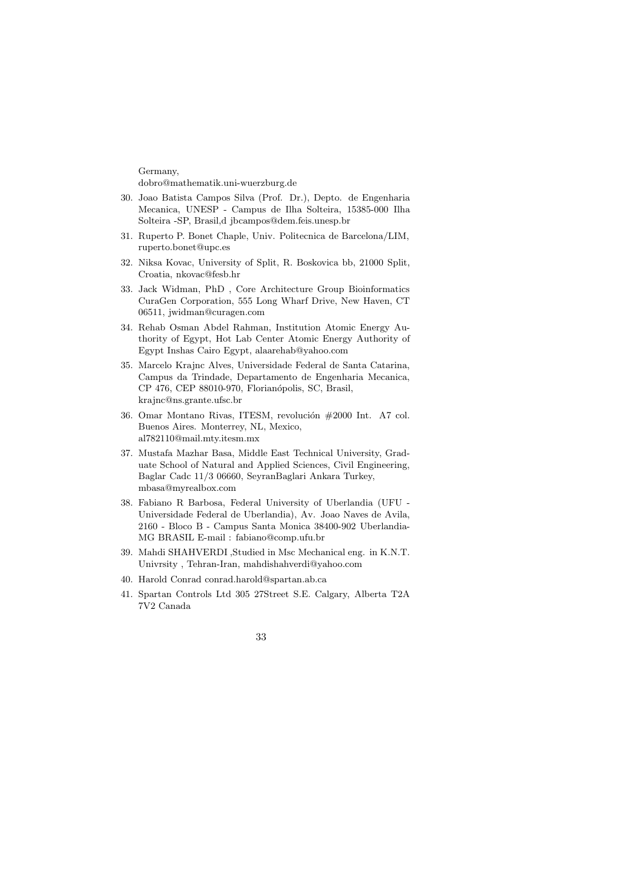Germany, dobro@mathematik.uni-wuerzburg.de

- 30. Joao Batista Campos Silva (Prof. Dr.), Depto. de Engenharia Mecanica, UNESP - Campus de Ilha Solteira, 15385-000 Ilha Solteira -SP, Brasil,d jbcampos@dem.feis.unesp.br
- 31. Ruperto P. Bonet Chaple, Univ. Politecnica de Barcelona/LIM, ruperto.bonet@upc.es
- 32. Niksa Kovac, University of Split, R. Boskovica bb, 21000 Split, Croatia, nkovac@fesb.hr
- 33. Jack Widman, PhD , Core Architecture Group Bioinformatics CuraGen Corporation, 555 Long Wharf Drive, New Haven, CT 06511, jwidman@curagen.com
- 34. Rehab Osman Abdel Rahman, Institution Atomic Energy Authority of Egypt, Hot Lab Center Atomic Energy Authority of Egypt Inshas Cairo Egypt, alaarehab@yahoo.com
- 35. Marcelo Krajnc Alves, Universidade Federal de Santa Catarina, Campus da Trindade, Departamento de Engenharia Mecanica, CP 476, CEP 88010-970, Florianópolis, SC, Brasil, krajnc@ns.grante.ufsc.br
- 36. Omar Montano Rivas, ITESM, revolución #2000 Int. A7 col. Buenos Aires. Monterrey, NL, Mexico, al782110@mail.mty.itesm.mx
- 37. Mustafa Mazhar Basa, Middle East Technical University, Graduate School of Natural and Applied Sciences, Civil Engineering, Baglar Cadc 11/3 06660, SeyranBaglari Ankara Turkey, mbasa@myrealbox.com
- 38. Fabiano R Barbosa, Federal University of Uberlandia (UFU Universidade Federal de Uberlandia), Av. Joao Naves de Avila, 2160 - Bloco B - Campus Santa Monica 38400-902 Uberlandia-MG BRASIL E-mail : fabiano@comp.ufu.br
- 39. Mahdi SHAHVERDI ,Studied in Msc Mechanical eng. in K.N.T. Univrsity , Tehran-Iran, mahdishahverdi@yahoo.com
- 40. Harold Conrad conrad.harold@spartan.ab.ca
- 41. Spartan Controls Ltd 305 27Street S.E. Calgary, Alberta T2A 7V2 Canada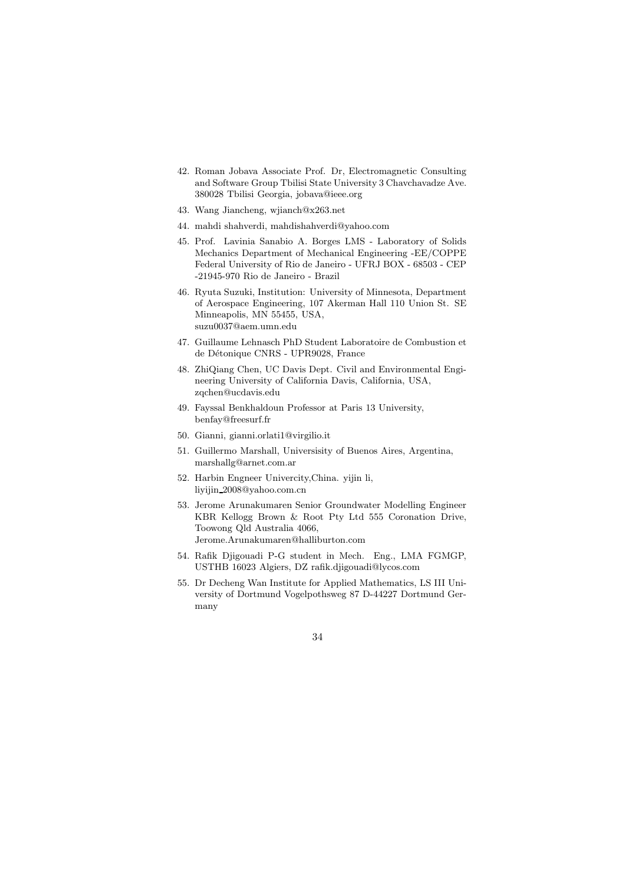- 42. Roman Jobava Associate Prof. Dr, Electromagnetic Consulting and Software Group Tbilisi State University 3 Chavchavadze Ave. 380028 Tbilisi Georgia, jobava@ieee.org
- 43. Wang Jiancheng, wjianch@x263.net
- 44. mahdi shahverdi, mahdishahverdi@yahoo.com
- 45. Prof. Lavinia Sanabio A. Borges LMS Laboratory of Solids Mechanics Department of Mechanical Engineering -EE/COPPE Federal University of Rio de Janeiro - UFRJ BOX - 68503 - CEP -21945-970 Rio de Janeiro - Brazil
- 46. Ryuta Suzuki, Institution: University of Minnesota, Department of Aerospace Engineering, 107 Akerman Hall 110 Union St. SE Minneapolis, MN 55455, USA, suzu0037@aem.umn.edu
- 47. Guillaume Lehnasch PhD Student Laboratoire de Combustion et de Détonique CNRS - UPR9028, France
- 48. ZhiQiang Chen, UC Davis Dept. Civil and Environmental Engineering University of California Davis, California, USA, zqchen@ucdavis.edu
- 49. Fayssal Benkhaldoun Professor at Paris 13 University, benfay@freesurf.fr
- 50. Gianni, gianni.orlati1@virgilio.it
- 51. Guillermo Marshall, Universisity of Buenos Aires, Argentina, marshallg@arnet.com.ar
- 52. Harbin Engneer Univercity,China. yijin li, liyijin 2008@yahoo.com.cn
- 53. Jerome Arunakumaren Senior Groundwater Modelling Engineer KBR Kellogg Brown & Root Pty Ltd 555 Coronation Drive, Toowong Qld Australia 4066, Jerome.Arunakumaren@halliburton.com
- 54. Rafik Djigouadi P-G student in Mech. Eng., LMA FGMGP, USTHB 16023 Algiers, DZ rafik.djigouadi@lycos.com
- 55. Dr Decheng Wan Institute for Applied Mathematics, LS III University of Dortmund Vogelpothsweg 87 D-44227 Dortmund Germany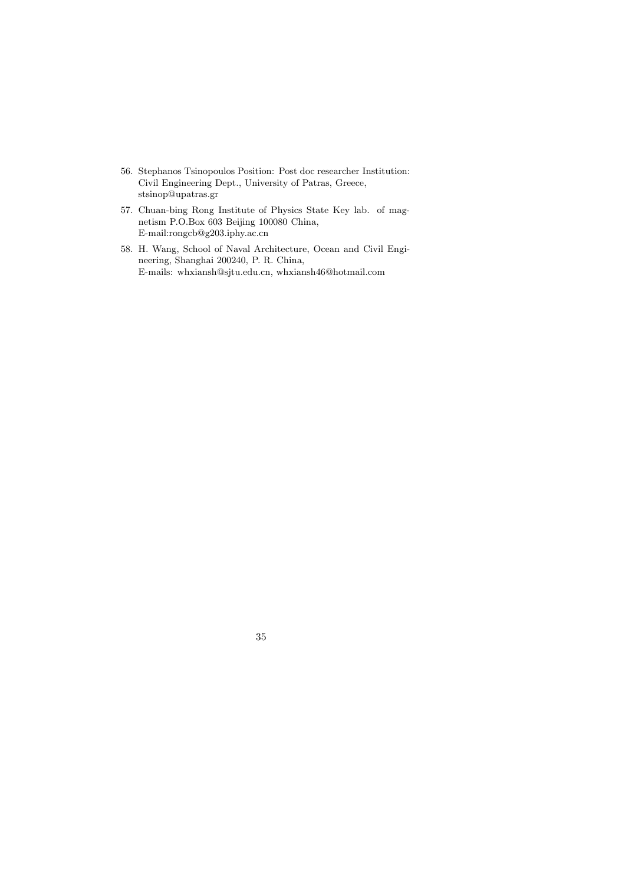- 56. Stephanos Tsinopoulos Position: Post doc researcher Institution: Civil Engineering Dept., University of Patras, Greece, stsinop@upatras.gr
- 57. Chuan-bing Rong Institute of Physics State Key lab. of magnetism P.O.Box 603 Beijing 100080 China, E-mail:rongcb@g203.iphy.ac.cn
- 58. H. Wang, School of Naval Architecture, Ocean and Civil Engineering, Shanghai 200240, P. R. China, E-mails: whxiansh@sjtu.edu.cn, whxiansh46@hotmail.com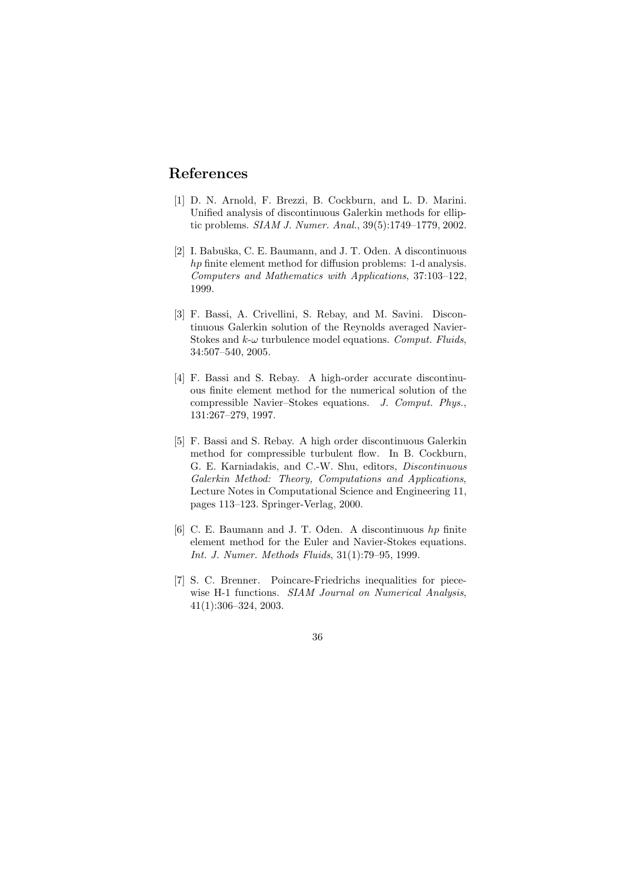# References

- [1] D. N. Arnold, F. Brezzi, B. Cockburn, and L. D. Marini. Unified analysis of discontinuous Galerkin methods for elliptic problems. SIAM J. Numer. Anal., 39(5):1749–1779, 2002.
- [2] I. Babuška, C. E. Baumann, and J. T. Oden. A discontinuous hp finite element method for diffusion problems: 1-d analysis. Computers and Mathematics with Applications, 37:103–122, 1999.
- [3] F. Bassi, A. Crivellini, S. Rebay, and M. Savini. Discontinuous Galerkin solution of the Reynolds averaged Navier-Stokes and  $k-\omega$  turbulence model equations. Comput. Fluids, 34:507–540, 2005.
- [4] F. Bassi and S. Rebay. A high-order accurate discontinuous finite element method for the numerical solution of the compressible Navier–Stokes equations. J. Comput. Phys., 131:267–279, 1997.
- [5] F. Bassi and S. Rebay. A high order discontinuous Galerkin method for compressible turbulent flow. In B. Cockburn, G. E. Karniadakis, and C.-W. Shu, editors, Discontinuous Galerkin Method: Theory, Computations and Applications, Lecture Notes in Computational Science and Engineering 11, pages 113–123. Springer-Verlag, 2000.
- [6] C. E. Baumann and J. T. Oden. A discontinuous hp finite element method for the Euler and Navier-Stokes equations. Int. J. Numer. Methods Fluids, 31(1):79–95, 1999.
- [7] S. C. Brenner. Poincare-Friedrichs inequalities for piecewise H-1 functions. SIAM Journal on Numerical Analysis, 41(1):306–324, 2003.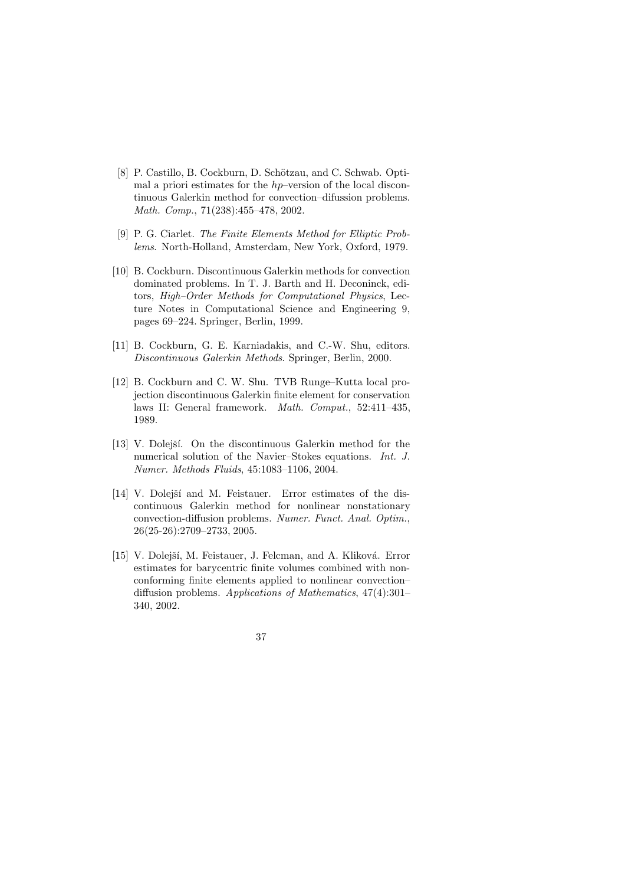- [8] P. Castillo, B. Cockburn, D. Schötzau, and C. Schwab. Optimal a priori estimates for the hp–version of the local discontinuous Galerkin method for convection–difussion problems. Math. Comp., 71(238):455–478, 2002.
- [9] P. G. Ciarlet. The Finite Elements Method for Elliptic Problems. North-Holland, Amsterdam, New York, Oxford, 1979.
- [10] B. Cockburn. Discontinuous Galerkin methods for convection dominated problems. In T. J. Barth and H. Deconinck, editors, High–Order Methods for Computational Physics, Lecture Notes in Computational Science and Engineering 9, pages 69–224. Springer, Berlin, 1999.
- [11] B. Cockburn, G. E. Karniadakis, and C.-W. Shu, editors. Discontinuous Galerkin Methods. Springer, Berlin, 2000.
- [12] B. Cockburn and C. W. Shu. TVB Runge–Kutta local projection discontinuous Galerkin finite element for conservation laws II: General framework. Math. Comput., 52:411–435, 1989.
- [13] V. Dolejší. On the discontinuous Galerkin method for the numerical solution of the Navier–Stokes equations. Int. J. Numer. Methods Fluids, 45:1083–1106, 2004.
- [14] V. Dolejší and M. Feistauer. Error estimates of the discontinuous Galerkin method for nonlinear nonstationary convection-diffusion problems. Numer. Funct. Anal. Optim., 26(25-26):2709–2733, 2005.
- [15] V. Dolejší, M. Feistauer, J. Felcman, and A. Kliková. Error estimates for barycentric finite volumes combined with nonconforming finite elements applied to nonlinear convection– diffusion problems. Applications of Mathematics, 47(4):301– 340, 2002.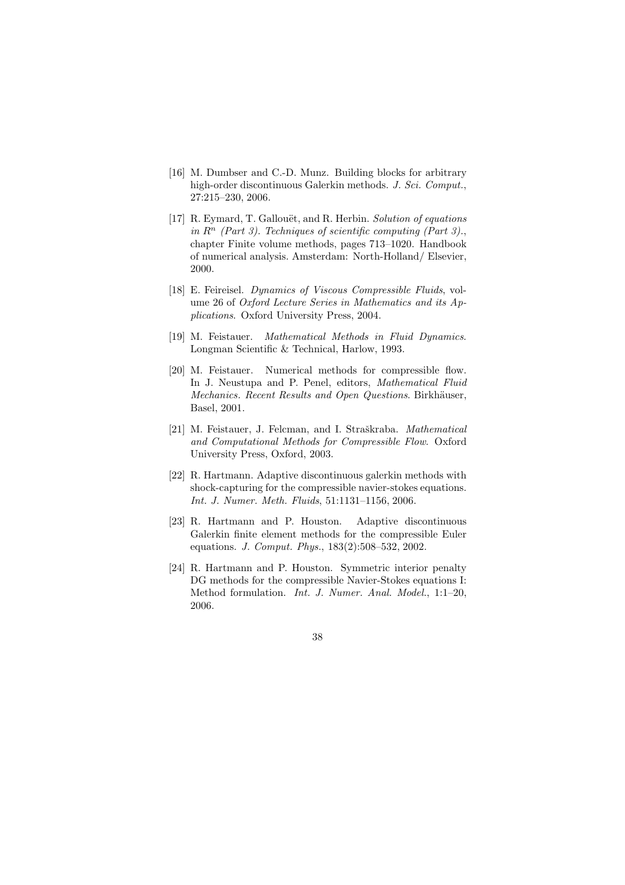- [16] M. Dumbser and C.-D. Munz. Building blocks for arbitrary high-order discontinuous Galerkin methods. J. Sci. Comput., 27:215–230, 2006.
- [17] R. Eymard, T. Gallouët, and R. Herbin. Solution of equations in  $R^n$  (Part 3). Techniques of scientific computing (Part 3)., chapter Finite volume methods, pages 713–1020. Handbook of numerical analysis. Amsterdam: North-Holland/ Elsevier, 2000.
- [18] E. Feireisel. Dynamics of Viscous Compressible Fluids, volume 26 of Oxford Lecture Series in Mathematics and its Applications. Oxford University Press, 2004.
- [19] M. Feistauer. Mathematical Methods in Fluid Dynamics. Longman Scientific & Technical, Harlow, 1993.
- [20] M. Feistauer. Numerical methods for compressible flow. In J. Neustupa and P. Penel, editors, Mathematical Fluid Mechanics. Recent Results and Open Questions. Birkhäuser, Basel, 2001.
- [21] M. Feistauer, J. Felcman, and I. Straškraba. Mathematical and Computational Methods for Compressible Flow. Oxford University Press, Oxford, 2003.
- [22] R. Hartmann. Adaptive discontinuous galerkin methods with shock-capturing for the compressible navier-stokes equations. Int. J. Numer. Meth. Fluids, 51:1131–1156, 2006.
- [23] R. Hartmann and P. Houston. Adaptive discontinuous Galerkin finite element methods for the compressible Euler equations. J. Comput. Phys., 183(2):508–532, 2002.
- [24] R. Hartmann and P. Houston. Symmetric interior penalty DG methods for the compressible Navier-Stokes equations I: Method formulation. Int. J. Numer. Anal. Model., 1:1–20, 2006.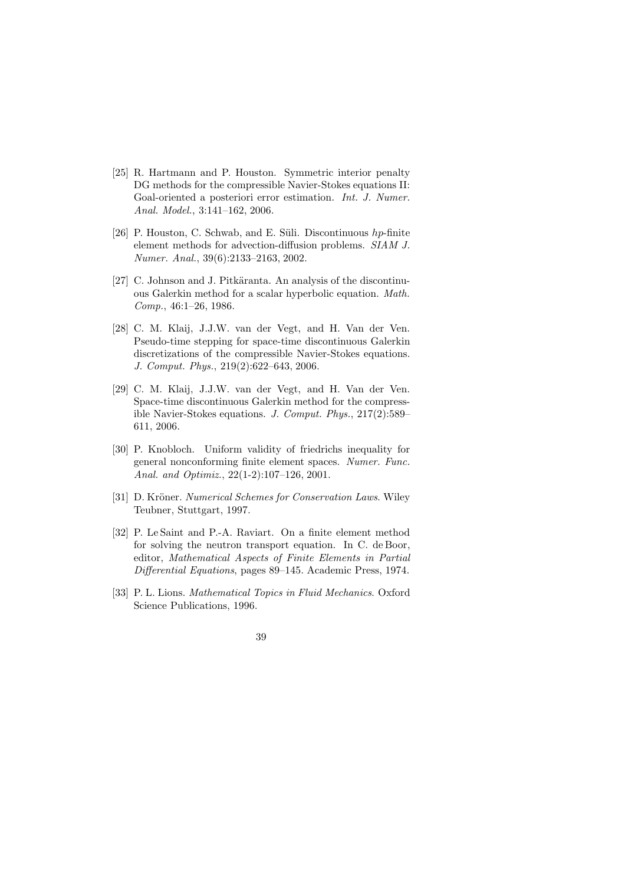- [25] R. Hartmann and P. Houston. Symmetric interior penalty DG methods for the compressible Navier-Stokes equations II: Goal-oriented a posteriori error estimation. Int. J. Numer. Anal. Model., 3:141–162, 2006.
- [26] P. Houston, C. Schwab, and E. Süli. Discontinuous  $hp$ -finite element methods for advection-diffusion problems. SIAM J. Numer. Anal., 39(6):2133–2163, 2002.
- [27] C. Johnson and J. Pitkäranta. An analysis of the discontinuous Galerkin method for a scalar hyperbolic equation. Math. Comp., 46:1–26, 1986.
- [28] C. M. Klaij, J.J.W. van der Vegt, and H. Van der Ven. Pseudo-time stepping for space-time discontinuous Galerkin discretizations of the compressible Navier-Stokes equations. J. Comput. Phys., 219(2):622–643, 2006.
- [29] C. M. Klaij, J.J.W. van der Vegt, and H. Van der Ven. Space-time discontinuous Galerkin method for the compressible Navier-Stokes equations. J. Comput. Phys., 217(2):589– 611, 2006.
- [30] P. Knobloch. Uniform validity of friedrichs inequality for general nonconforming finite element spaces. Numer. Func. Anal. and Optimiz., 22(1-2):107–126, 2001.
- [31] D. Kröner. Numerical Schemes for Conservation Laws. Wiley Teubner, Stuttgart, 1997.
- [32] P. Le Saint and P.-A. Raviart. On a finite element method for solving the neutron transport equation. In C. de Boor, editor, Mathematical Aspects of Finite Elements in Partial Differential Equations, pages 89–145. Academic Press, 1974.
- [33] P. L. Lions. Mathematical Topics in Fluid Mechanics. Oxford Science Publications, 1996.